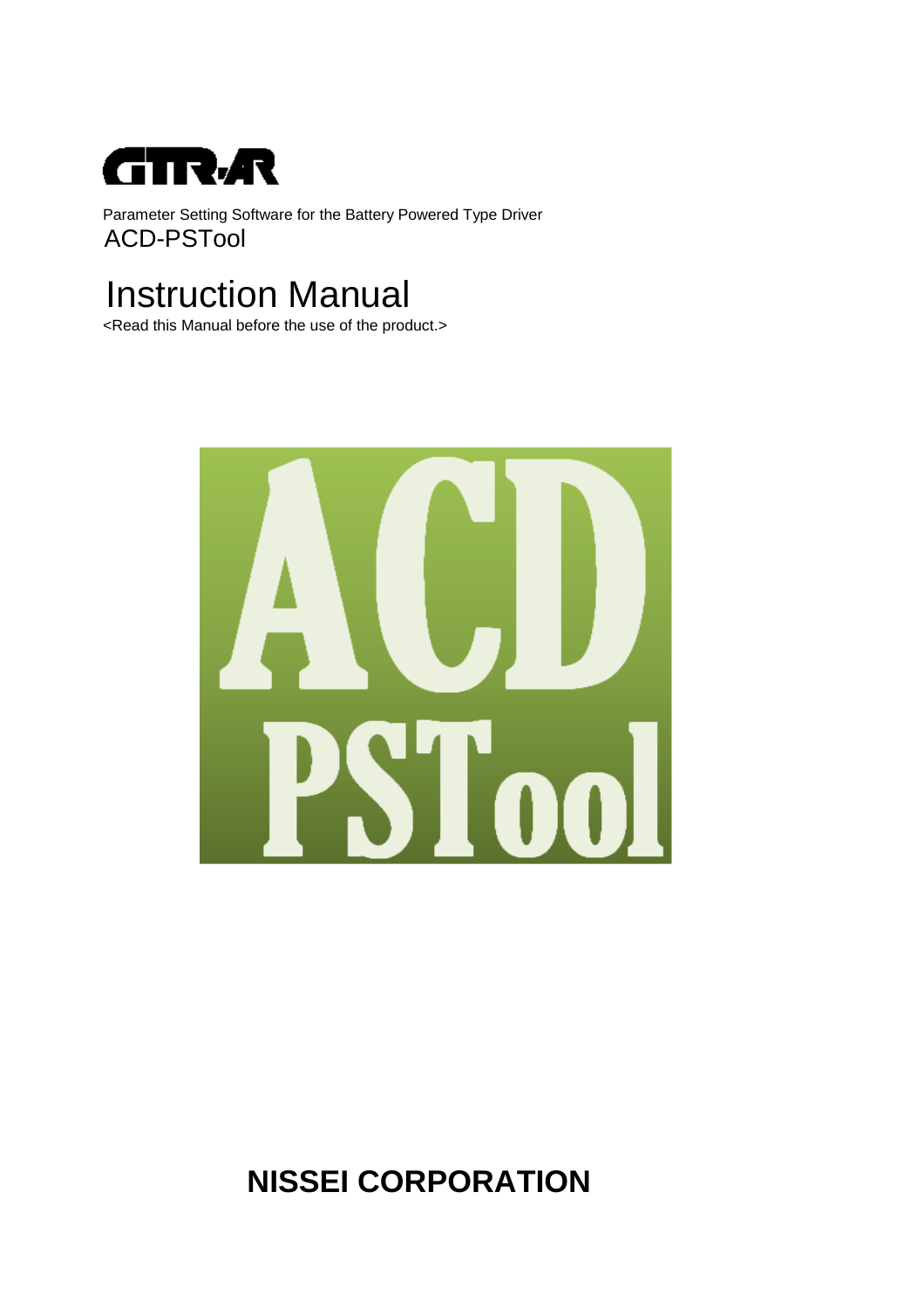

Parameter Setting Software for the Battery Powered Type Driver ACD-PSTool

# Instruction Manual

<Read this Manual before the use of the product.>



## **NISSEI CORPORATION**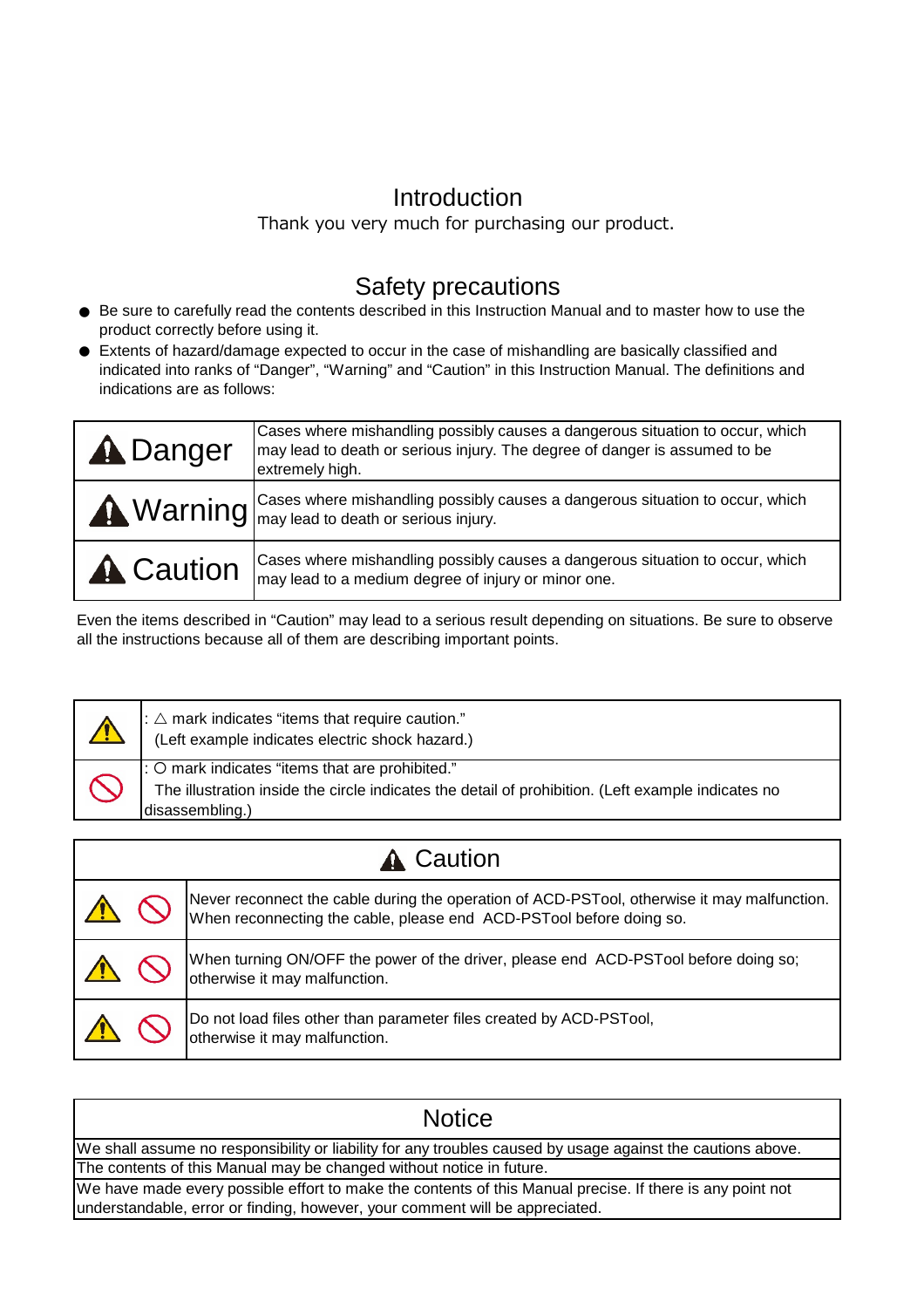### Introduction

Thank you very much for purchasing our product.

### Safety precautions

- Be sure to carefully read the contents described in this Instruction Manual and to master how to use the product correctly before using it.
- Extents of hazard/damage expected to occur in the case of mishandling are basically classified and indicated into ranks of "Danger", "Warning" and "Caution" in this Instruction Manual. The definitions and indications are as follows:

| <b>A</b> Danger  | Cases where mishandling possibly causes a dangerous situation to occur, which<br>may lead to death or serious injury. The degree of danger is assumed to be<br>extremely high. |
|------------------|--------------------------------------------------------------------------------------------------------------------------------------------------------------------------------|
|                  | <b>Warning</b> Cases where mishandling possibly causes a dangerous situation to occur, which Warning $\log$                                                                    |
| <b>A</b> Caution | Cases where mishandling possibly causes a dangerous situation to occur, which<br>may lead to a medium degree of injury or minor one.                                           |

Even the items described in "Caution" may lead to a serious result depending on situations. Be sure to observe all the instructions because all of them are describing important points.

|                  | : $\triangle$ mark indicates "items that require caution."<br>(Left example indicates electric shock hazard.)                                                            |                                                                                                                                                                    |  |
|------------------|--------------------------------------------------------------------------------------------------------------------------------------------------------------------------|--------------------------------------------------------------------------------------------------------------------------------------------------------------------|--|
|                  | : O mark indicates "items that are prohibited."<br>The illustration inside the circle indicates the detail of prohibition. (Left example indicates no<br>disassembling.) |                                                                                                                                                                    |  |
|                  |                                                                                                                                                                          |                                                                                                                                                                    |  |
| <b>A</b> Caution |                                                                                                                                                                          |                                                                                                                                                                    |  |
|                  |                                                                                                                                                                          | Never reconnect the cable during the operation of ACD-PSTool, otherwise it may malfunction.<br>When reconnecting the cable, please end ACD-PSTool before doing so. |  |
|                  |                                                                                                                                                                          | When turning ON/OFF the power of the driver, please end ACD-PSTool before doing so;<br>otherwise it may malfunction.                                               |  |
|                  |                                                                                                                                                                          | Do not load files other than parameter files created by ACD-PSTool,                                                                                                |  |

| <b>Notice</b>                                                                                               |
|-------------------------------------------------------------------------------------------------------------|
| We shall assume no responsibility or liability for any troubles caused by usage against the cautions above. |
| The contents of this Manual may be changed without notice in future.                                        |
| We have made every possible effort to make the contents of this Manual precise. If there is any point not   |
| understandable, error or finding, however, your comment will be appreciated.                                |

otherwise it may malfunction.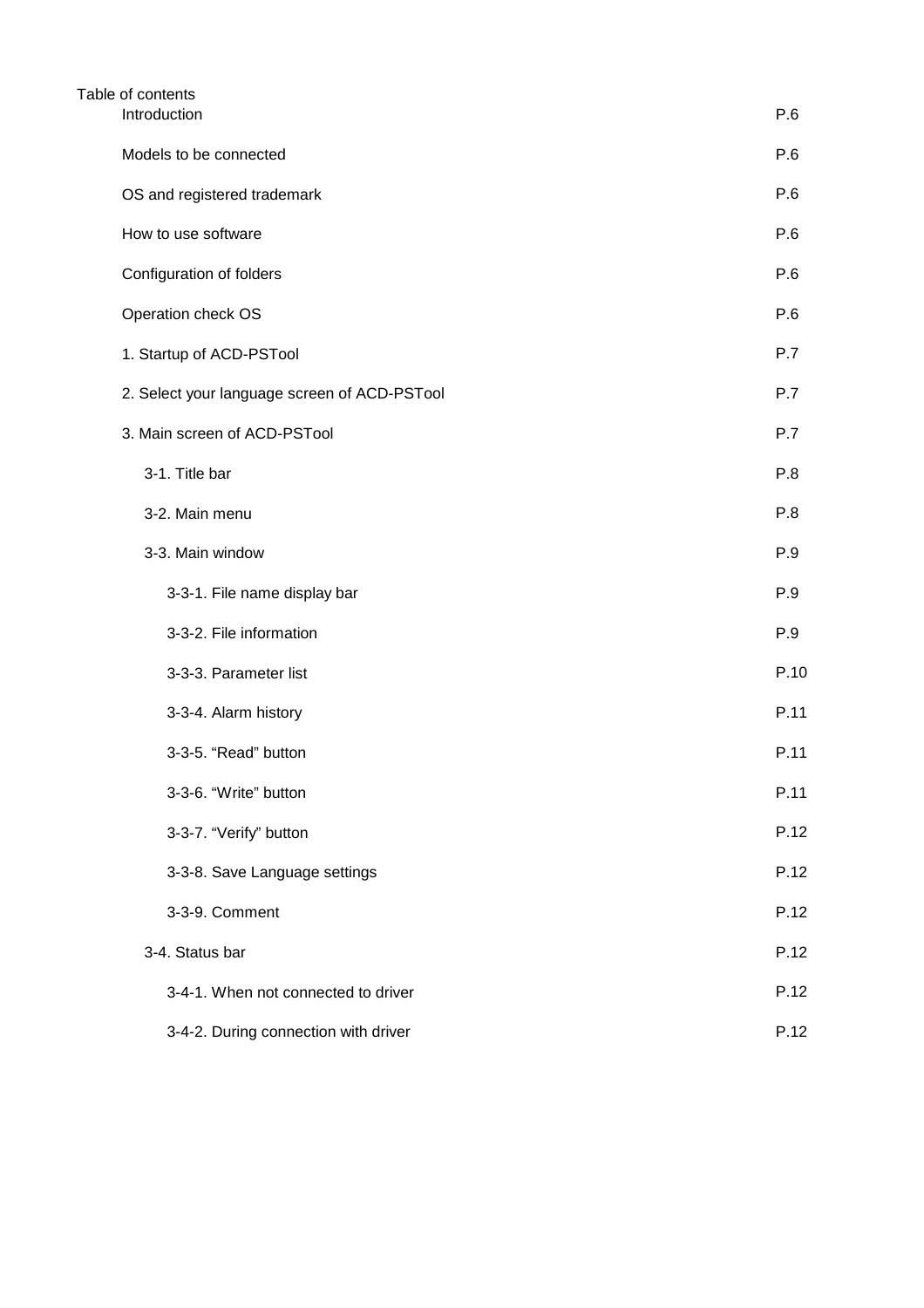| Table of contents                            |      |
|----------------------------------------------|------|
| Introduction                                 | P.6  |
| Models to be connected                       | P.6  |
| OS and registered trademark                  | P.6  |
| How to use software                          | P.6  |
| Configuration of folders                     | P.6  |
| Operation check OS                           | P.6  |
| 1. Startup of ACD-PSTool                     | P.7  |
| 2. Select your language screen of ACD-PSTool | P.7  |
| 3. Main screen of ACD-PSTool                 | P.7  |
| 3-1. Title bar                               | P.8  |
| 3-2. Main menu                               | P.8  |
| 3-3. Main window                             | P.9  |
| 3-3-1. File name display bar                 | P.9  |
| 3-3-2. File information                      | P.9  |
| 3-3-3. Parameter list                        | P.10 |
| 3-3-4. Alarm history                         | P.11 |
| 3-3-5. "Read" button                         | P.11 |
| 3-3-6. "Write" button                        | P.11 |
| 3-3-7. "Verify" button                       | P.12 |
| 3-3-8. Save Language settings                | P.12 |
| 3-3-9. Comment                               | P.12 |
| 3-4. Status bar                              | P.12 |
| 3-4-1. When not connected to driver          | P.12 |
| 3-4-2. During connection with driver         | P.12 |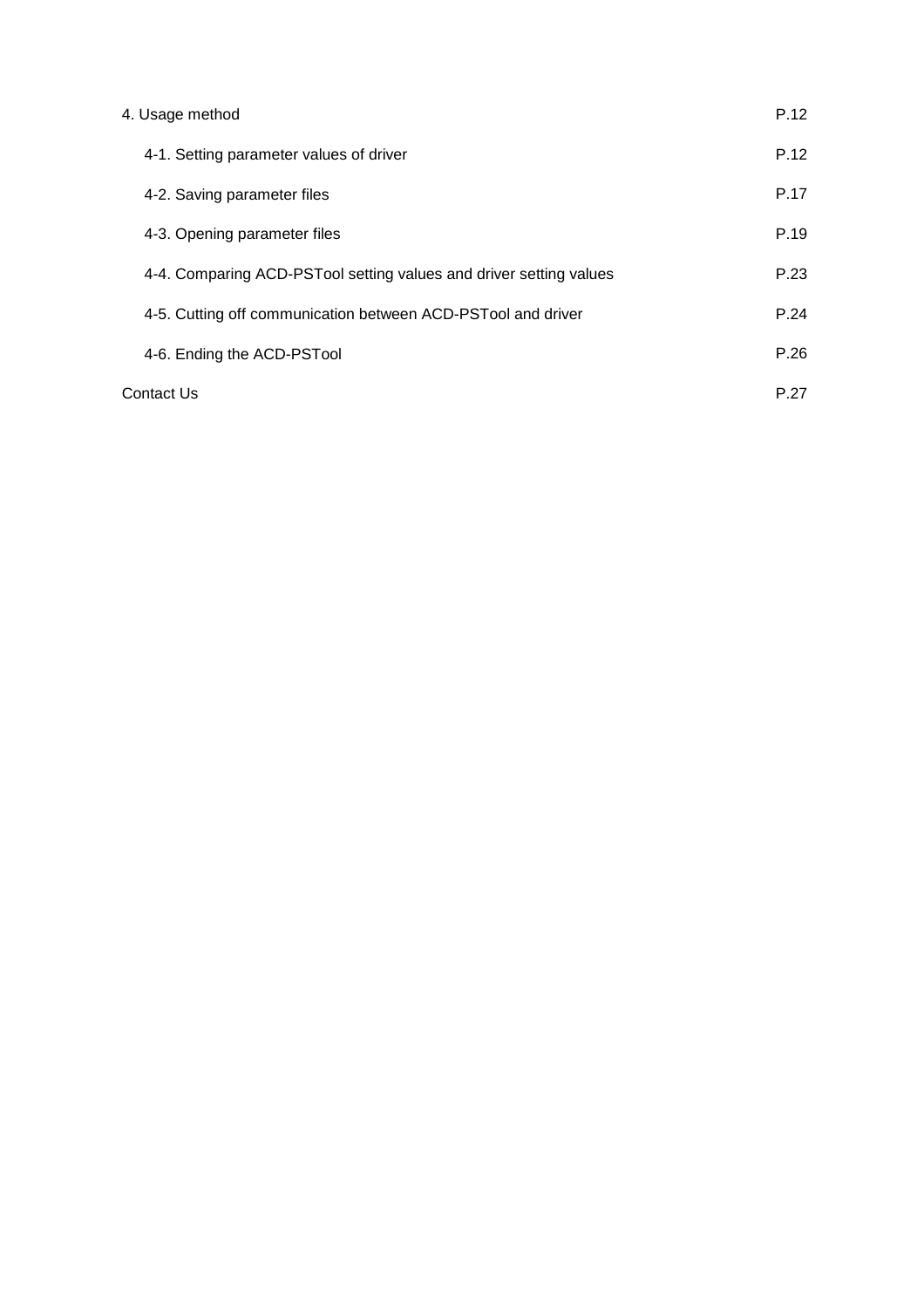| 4. Usage method                                                    | P.12 |
|--------------------------------------------------------------------|------|
| 4-1. Setting parameter values of driver                            | P.12 |
| 4-2. Saving parameter files                                        | P.17 |
| 4-3. Opening parameter files                                       | P.19 |
| 4-4. Comparing ACD-PSTool setting values and driver setting values | P.23 |
| 4-5. Cutting off communication between ACD-PSTool and driver       | P.24 |
| 4-6. Ending the ACD-PSTool                                         | P.26 |
| Contact Us                                                         | P.27 |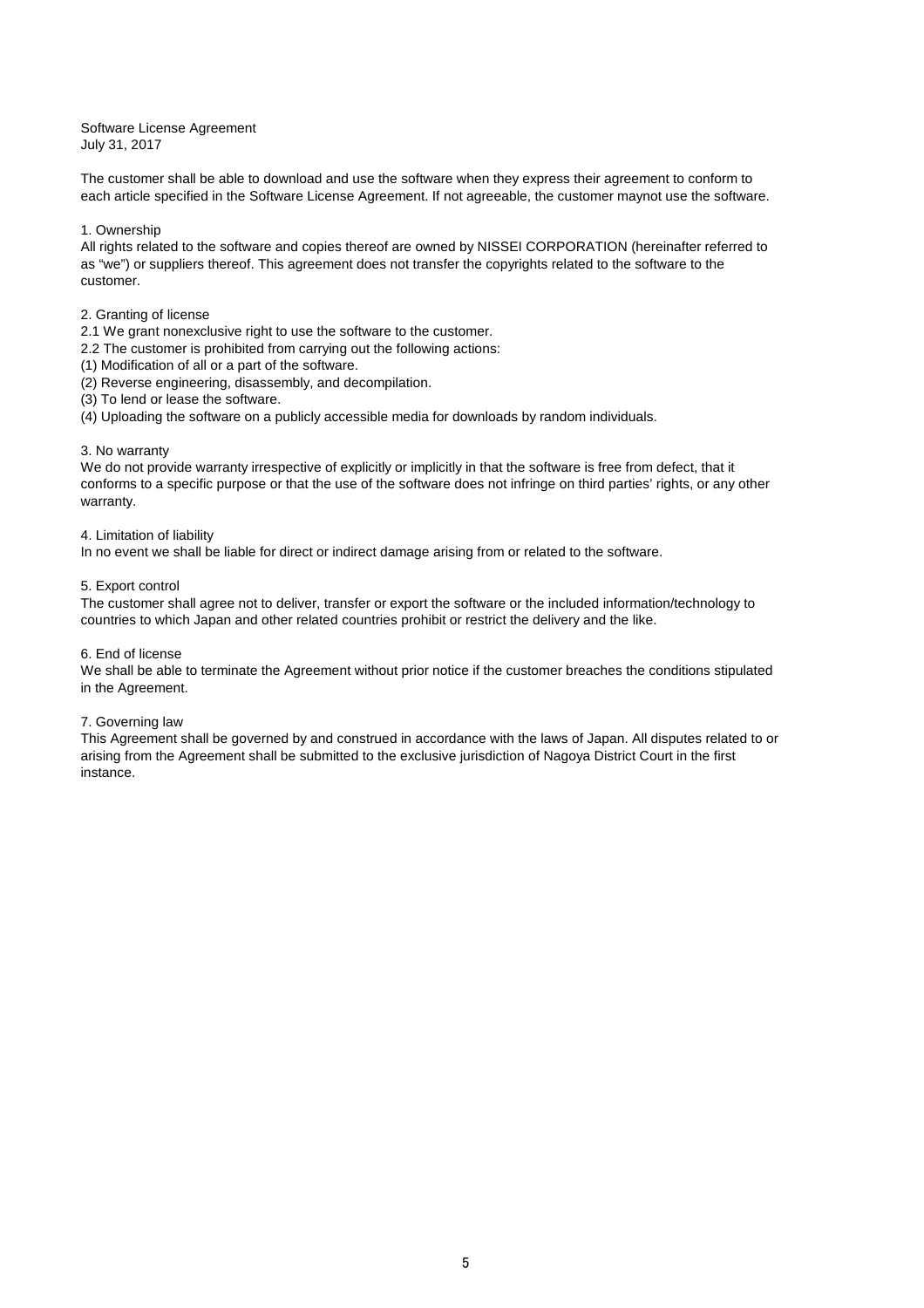### Software License Agreement

July 31, 2017

The customer shall be able to download and use the software when they express their agreement to conform to each article specified in the Software License Agreement. If not agreeable, the customer maynot use the software.

#### 1. Ownership

All rights related to the software and copies thereof are owned by NISSEI CORPORATION (hereinafter referred to as "we") or suppliers thereof. This agreement does not transfer the copyrights related to the software to the customer.

#### 2. Granting of license

- 2.1 We grant nonexclusive right to use the software to the customer.
- 2.2 The customer is prohibited from carrying out the following actions:
- (1) Modification of all or a part of the software.
- (2) Reverse engineering, disassembly, and decompilation.
- (3) To lend or lease the software.
- (4) Uploading the software on a publicly accessible media for downloads by random individuals.

#### 3. No warranty

We do not provide warranty irrespective of explicitly or implicitly in that the software is free from defect, that it conforms to a specific purpose or that the use of the software does not infringe on third parties' rights, or any other warranty.

#### 4. Limitation of liability

In no event we shall be liable for direct or indirect damage arising from or related to the software.

#### 5. Export control

The customer shall agree not to deliver, transfer or export the software or the included information/technology to countries to which Japan and other related countries prohibit or restrict the delivery and the like.

#### 6. End of license

We shall be able to terminate the Agreement without prior notice if the customer breaches the conditions stipulated in the Agreement.

#### 7. Governing law

This Agreement shall be governed by and construed in accordance with the laws of Japan. All disputes related to or arising from the Agreement shall be submitted to the exclusive jurisdiction of Nagoya District Court in the first instance.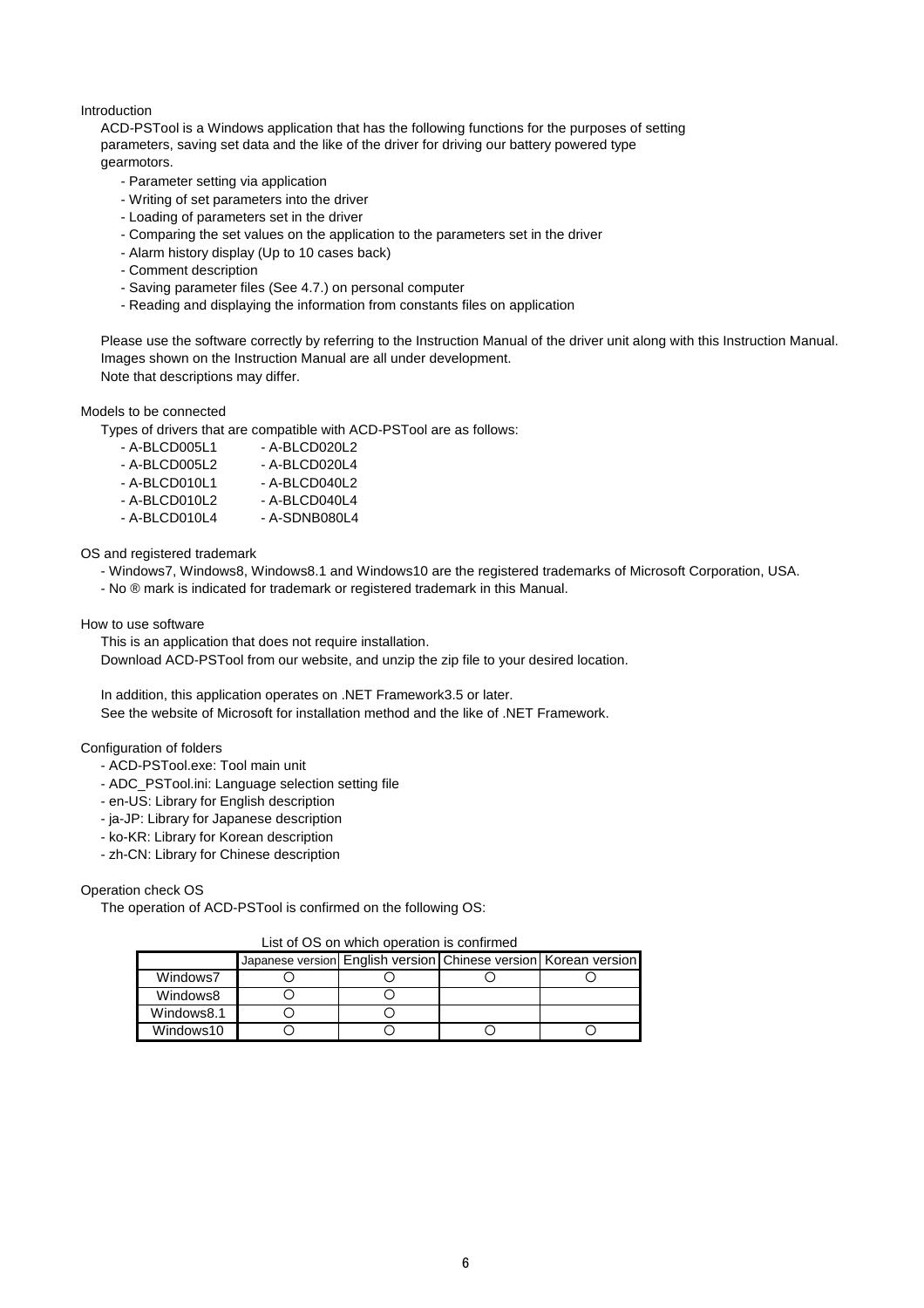#### Introduction

ACD-PSTool is a Windows application that has the following functions for the purposes of setting parameters, saving set data and the like of the driver for driving our battery powered type gearmotors.

- Parameter setting via application
- Writing of set parameters into the driver
- Loading of parameters set in the driver
- Comparing the set values on the application to the parameters set in the driver
- Alarm history display (Up to 10 cases back)
- Comment description
- Saving parameter files (See 4.7.) on personal computer
- Reading and displaying the information from constants files on application

Please use the software correctly by referring to the Instruction Manual of the driver unit along with this Instruction Manual. Images shown on the Instruction Manual are all under development. Note that descriptions may differ.

#### Models to be connected

Types of drivers that are compatible with ACD-PSTool are as follows:

| - A-BLCD005L1   | - A-BLCD020L2   |
|-----------------|-----------------|
| $-$ A-BLCD005L2 | $-$ A-BLCD020L4 |
| - A-BLCD010L1   | $-A-BLCD040L2$  |
| $-$ A-BLCD010L2 | $-$ A-BLCD040L4 |

- A-BLCD010L4 - A-SDNB080L4

OS and registered trademark

- Windows7, Windows8, Windows8.1 and Windows10 are the registered trademarks of Microsoft Corporation, USA.
- No ® mark is indicated for trademark or registered trademark in this Manual.

How to use software

This is an application that does not require installation. Download ACD-PSTool from our website, and unzip the zip file to your desired location.

In addition, this application operates on .NET Framework3.5 or later. See the website of Microsoft for installation method and the like of .NET Framework.

Configuration of folders

- ACD-PSTool.exe: Tool main unit
- ADC\_PSTool.ini: Language selection setting file
- en-US: Library for English description
- ja-JP: Library for Japanese description
- ko-KR: Library for Korean description
- zh-CN: Library for Chinese description

Operation check OS

The operation of ACD-PSTool is confirmed on the following OS:

#### List of OS on which operation is confirmed

|            | Japanese version English version Chinese version Korean version |  |  |
|------------|-----------------------------------------------------------------|--|--|
| Windows7   |                                                                 |  |  |
| Windows8   |                                                                 |  |  |
| Windows8.1 |                                                                 |  |  |
| Windows10  |                                                                 |  |  |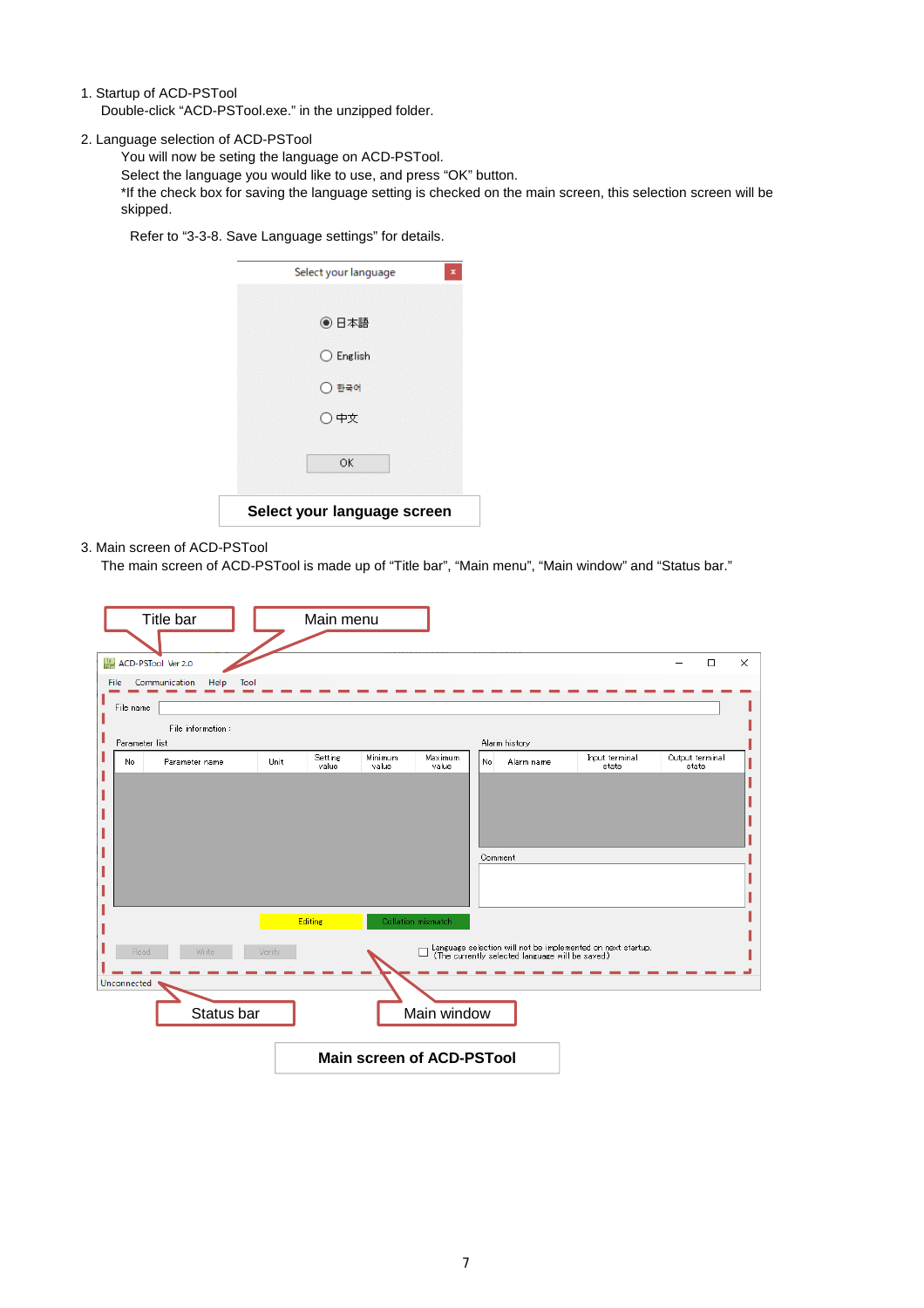1. Startup of ACD-PSTool

Double-click "ACD-PSTool.exe." in the unzipped folder.

2. Language selection of ACD-PSTool

You will now be seting the language on ACD-PSTool.

Select the language you would like to use, and press "OK" button.

\*If the check box for saving the language setting is checked on the main screen, this selection screen will be skipped.

Refer to "3-3-8. Save Language settings" for details.

| Select your language        | × |
|-----------------------------|---|
| ◉ 日本語                       |   |
| $\bigcirc$ English          |   |
| ◯ 한국어                       |   |
| ○中文                         |   |
| OK                          |   |
| Select your language screen |   |

#### 3. Main screen of ACD-PSTool

The main screen of ACD-PSTool is made up of "Title bar", "Main menu", "Main window" and "Status bar."

| Title bar                                                 | Main menu                                                                                                                                                       |  |
|-----------------------------------------------------------|-----------------------------------------------------------------------------------------------------------------------------------------------------------------|--|
| ACD-PSTool Ver 2.0                                        | $\Box$<br>$\times$                                                                                                                                              |  |
| Communication<br>Help<br><b>File</b><br>Tool<br>File name |                                                                                                                                                                 |  |
| File information:<br>Parameter list                       | Alarm history                                                                                                                                                   |  |
| No.<br>Parameter name                                     | Setting<br>Minimum<br>Maximum<br>Input terminal<br>Output terminal<br>No.<br>Unit<br>Alarm name<br>value<br>value<br>value<br>state<br>state<br>Comment         |  |
| Read<br>Write<br>Verify<br>Unconnected<br>Status bar      | Editing<br>Collation mismatch<br>Language selection will not be implemented on next startup.<br>(The currently selected language will be saved.)<br>Main window |  |
|                                                           | <b>Main screen of ACD-PSTool</b>                                                                                                                                |  |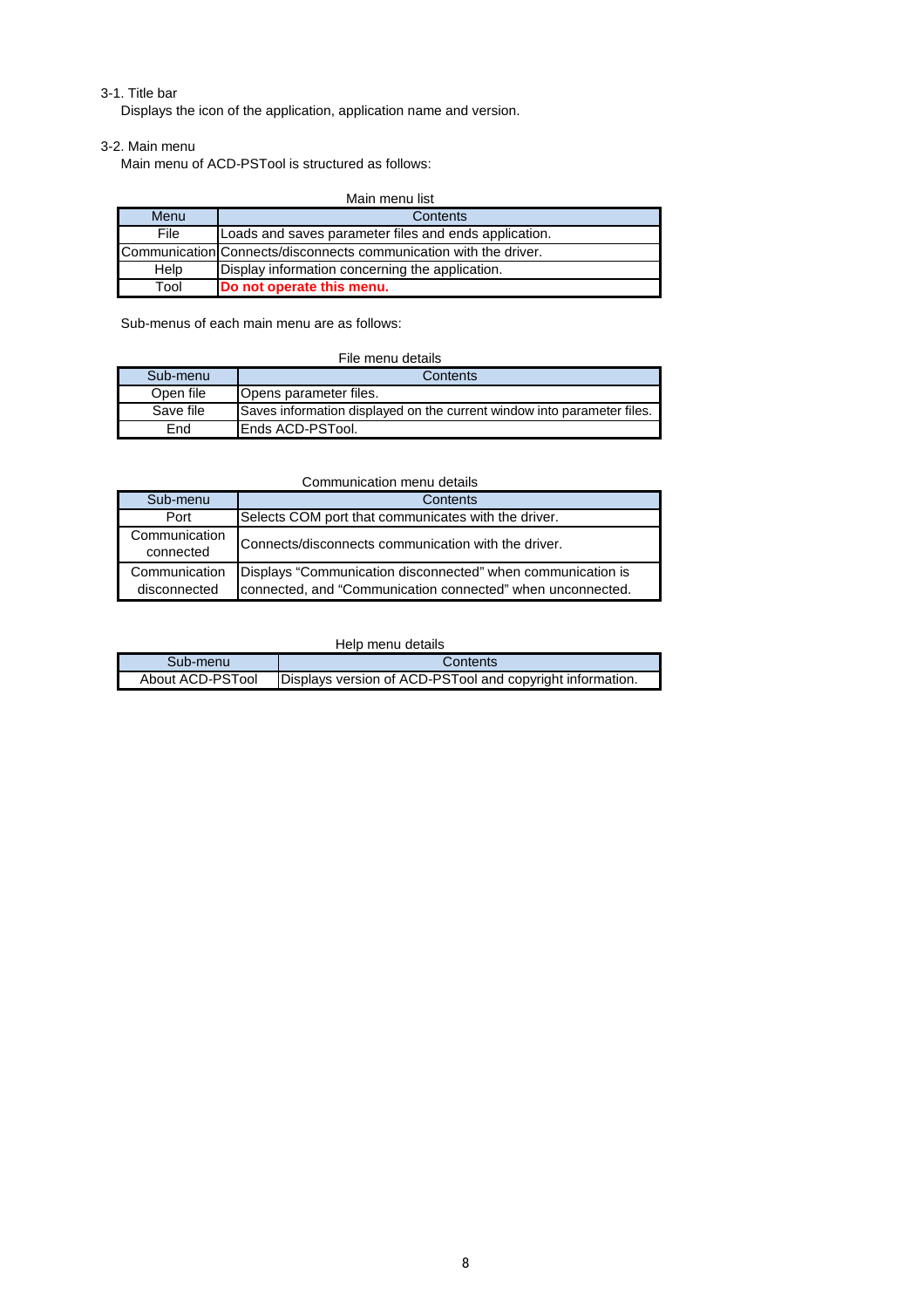#### 3-1. Title bar

Displays the icon of the application, application name and version.

#### 3-2. Main menu

Main menu of ACD-PSTool is structured as follows:

| Main menu list |                                                                   |  |
|----------------|-------------------------------------------------------------------|--|
| Menu           | Contents                                                          |  |
| File           | Loads and saves parameter files and ends application.             |  |
|                | Communication Connects/disconnects communication with the driver. |  |
| Help           | Display information concerning the application.                   |  |
| Tool           | Do not operate this menu.                                         |  |

Sub-menus of each main menu are as follows:

| File menu details |                                                                         |  |
|-------------------|-------------------------------------------------------------------------|--|
| Sub-menu          | Contents                                                                |  |
| Open file         | Opens parameter files.                                                  |  |
| Save file         | Saves information displayed on the current window into parameter files. |  |
| End               | Ends ACD-PSTool.                                                        |  |

#### Communication menu details

| Sub-menu                      | Contents                                                                                                                  |
|-------------------------------|---------------------------------------------------------------------------------------------------------------------------|
| Port                          | Selects COM port that communicates with the driver.                                                                       |
| Communication<br>connected    | Connects/disconnects communication with the driver.                                                                       |
| Communication<br>disconnected | Displays "Communication disconnected" when communication is<br>connected, and "Communication connected" when unconnected. |

#### Help menu details

| Sub-menu         | Contents                                                  |
|------------------|-----------------------------------------------------------|
| About ACD-PSTool | Displays version of ACD-PSTool and copyright information. |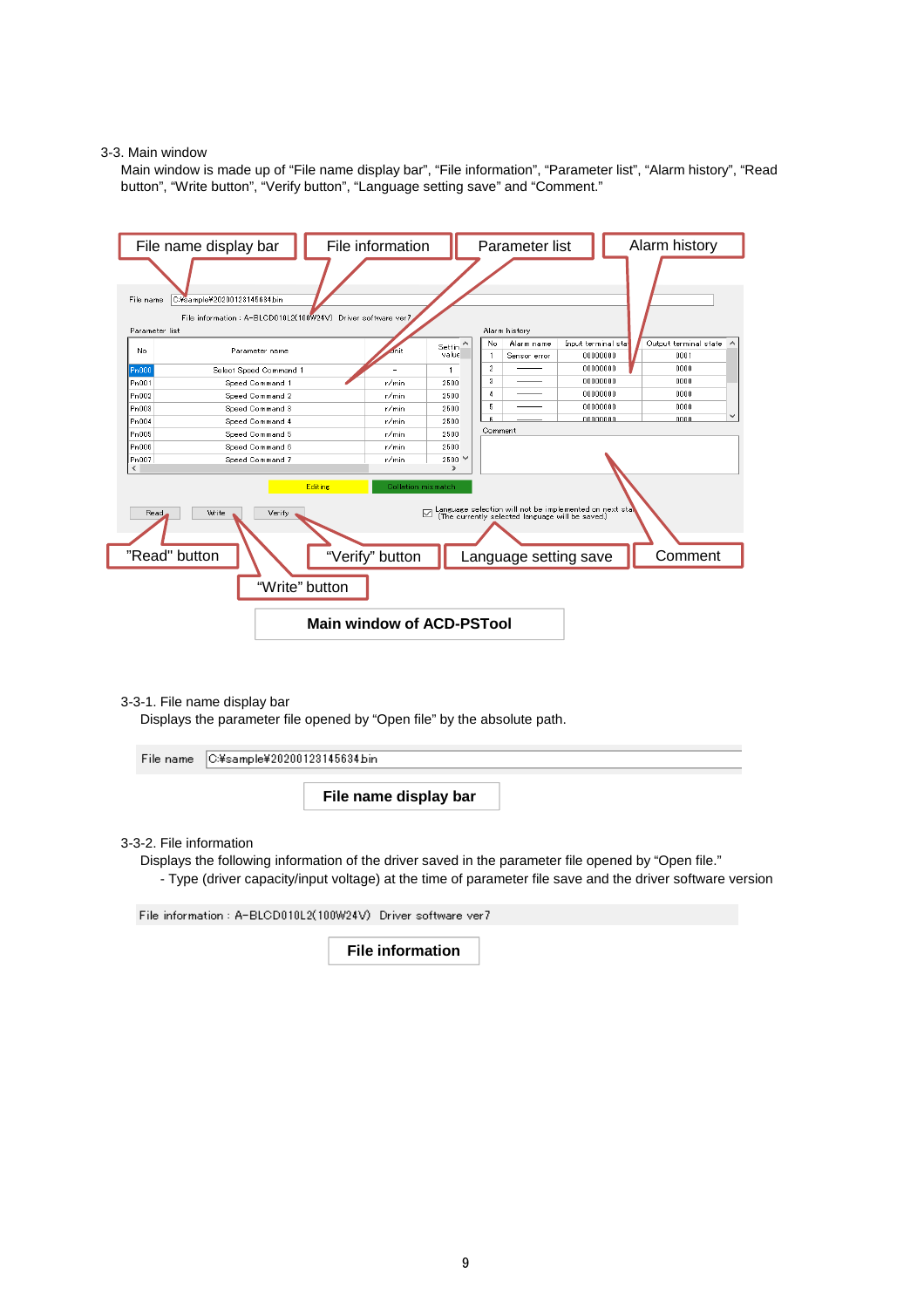#### 3-3. Main window

Main window is made up of "File name display bar", "File information", "Parameter list", "Alarm history", "Read button", "Write button", "Verify button", "Language setting save" and "Comment."



3-3-1. File name display bar

Displays the parameter file opened by "Open file" by the absolute path.

| File name C#sample¥20200123145634bin |                       |  |
|--------------------------------------|-----------------------|--|
|                                      | File name display bar |  |

#### 3-3-2. File information

Displays the following information of the driver saved in the parameter file opened by "Open file."

- Type (driver capacity/input voltage) at the time of parameter file save and the driver software version

File information: A-BLCD010L2(100W24V) Driver software ver7

**File information**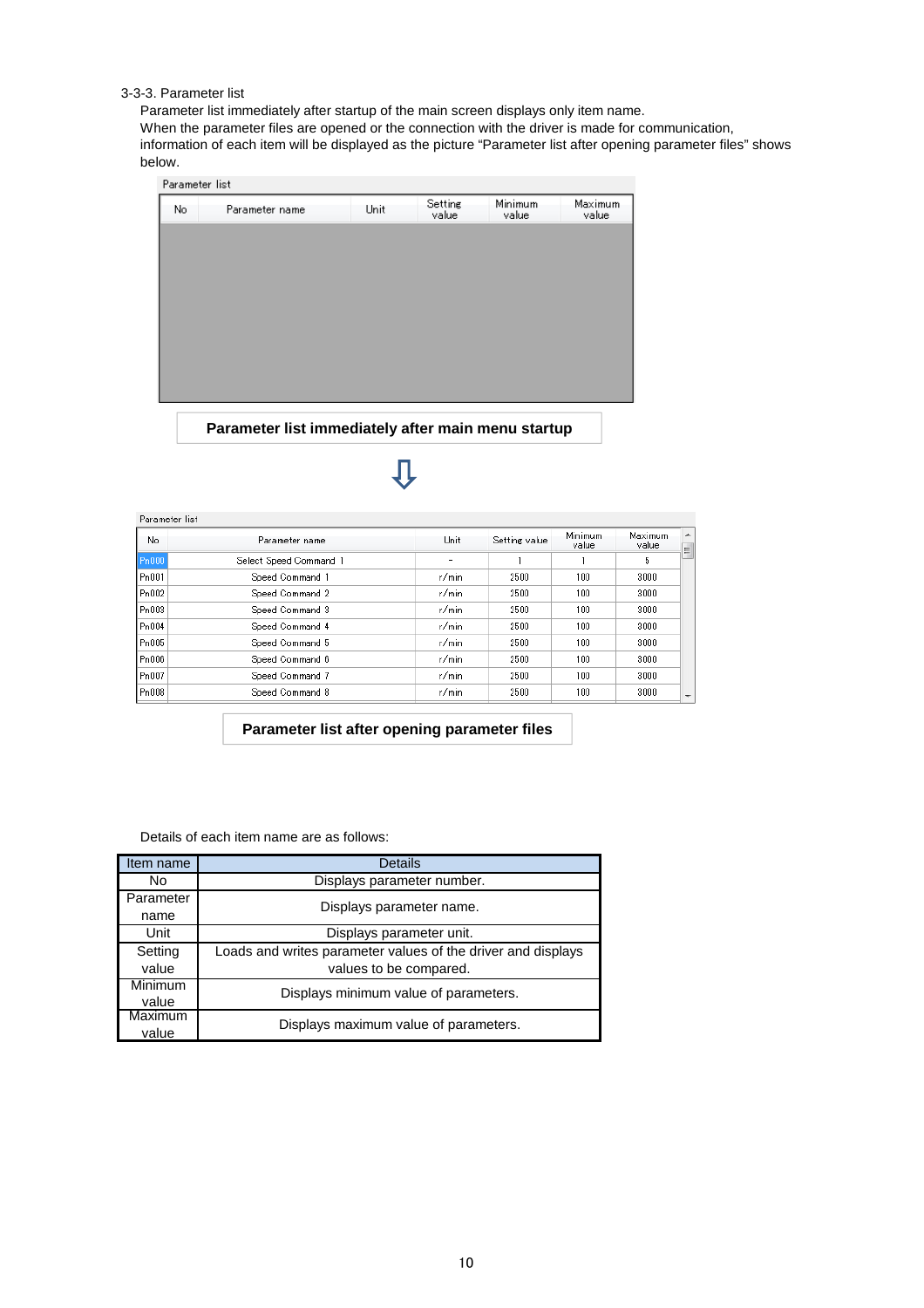#### 3-3-3. Parameter list

Parameter list immediately after startup of the main screen displays only item name.

When the parameter files are opened or the connection with the driver is made for communication, information of each item will be displayed as the picture "Parameter list after opening parameter files" shows

below. Parameter list

| No. | Parameter name | Unit | Setting<br>value | Minimum<br>value | Maximum<br>value |
|-----|----------------|------|------------------|------------------|------------------|
|     |                |      |                  |                  |                  |
|     |                |      |                  |                  |                  |
|     |                |      |                  |                  |                  |
|     |                |      |                  |                  |                  |
|     |                |      |                  |                  |                  |
|     |                |      |                  |                  |                  |
|     |                |      |                  |                  |                  |
|     |                |      |                  |                  |                  |

**Parameter list immediately after main menu startup**

Л

#### Parameter list

| No    | Parameter name         | Unit  | Setting value | <b>Minimum</b><br>value | Maximum<br>value |
|-------|------------------------|-------|---------------|-------------------------|------------------|
| Pn000 | Select Speed Command 1 |       |               |                         | 5                |
| Pn001 | Speed Command 1        | r/min | 2500          | 100                     | 3000             |
| Pn002 | Speed Command 2        | r/min | 2500          | 100                     | 3000             |
| Pn003 | Speed Command 3        | r/min | 2500          | 100                     | 3000             |
| Pn004 | Speed Command 4        | r/min | 2500          | 100                     | 3000             |
| Pn005 | Speed Command 5        | r/min | 2500          | 100                     | 3000             |
| Pn006 | Speed Command 6        | r/min | 2500          | 100                     | 3000             |
| Pn007 | Speed Command 7        | r/min | 2500          | 100                     | 3000             |
| Pn008 | Speed Command 8        | r/min | 2500          | 100                     | 3000             |

**Parameter list after opening parameter files**

Details of each item name are as follows:

| Item name | Details                                                      |
|-----------|--------------------------------------------------------------|
| No        | Displays parameter number.                                   |
| Parameter |                                                              |
| name      | Displays parameter name.                                     |
| Unit      | Displays parameter unit.                                     |
| Setting   | Loads and writes parameter values of the driver and displays |
| value     | values to be compared.                                       |
| Minimum   | Displays minimum value of parameters.                        |
| value     |                                                              |
| Maximum   | Displays maximum value of parameters.                        |
| value     |                                                              |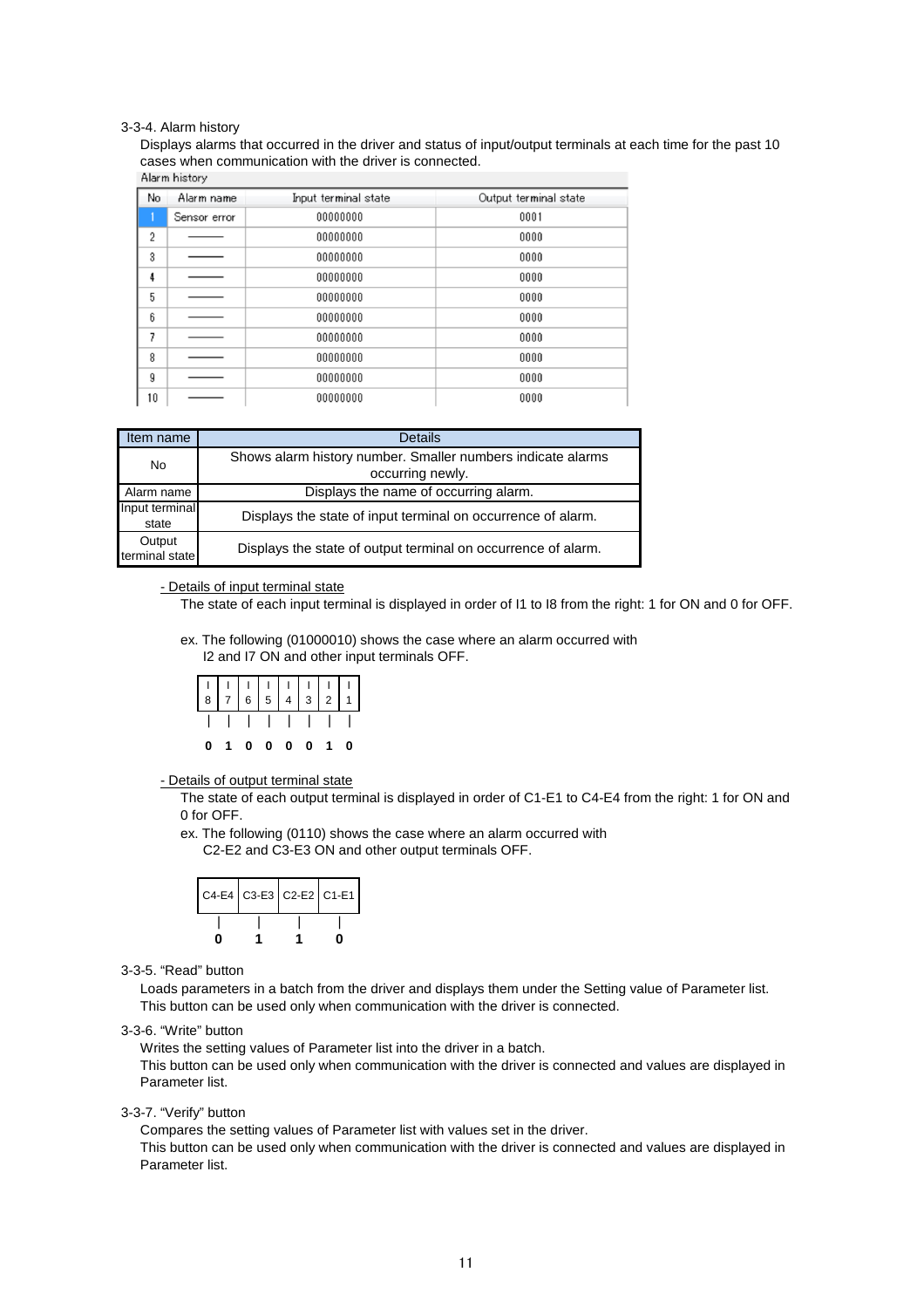#### 3-3-4. Alarm history

Displays alarms that occurred in the driver and status of input/output terminals at each time for the past 10 cases when communication with the driver is connected.<br>Alarm history

| No | Alarm name   | Input terminal state | Output terminal state |
|----|--------------|----------------------|-----------------------|
|    | Sensor error | 00000000             | 0001                  |
| 2  |              | 00000000             | 0000                  |
| 3  |              | 00000000             | 0000                  |
| 4  |              | 00000000             | 0000                  |
| 5  |              | 00000000             | 0000                  |
| 6  |              | 00000000             | 0000                  |
| 7  |              | 00000000             | 0000                  |
| 8  |              | 00000000             | 0000                  |
| 9  |              | 00000000             | 0000                  |
| 10 |              | 00000000             | 0000                  |

| Item name      | <b>Details</b>                                                |
|----------------|---------------------------------------------------------------|
| No             | Shows alarm history number. Smaller numbers indicate alarms   |
|                | occurring newly.                                              |
| Alarm name     | Displays the name of occurring alarm.                         |
| Input terminal | Displays the state of input terminal on occurrence of alarm.  |
| state          |                                                               |
| Output         | Displays the state of output terminal on occurrence of alarm. |
| terminal state |                                                               |

#### - Details of input terminal state

The state of each input terminal is displayed in order of I1 to I8 from the right: 1 for ON and 0 for OFF.

ex. The following (01000010) shows the case where an alarm occurred with I2 and I7 ON and other input terminals OFF.

| 11111111 |  |  |           |  |
|----------|--|--|-----------|--|
|          |  |  | 0 0 0 0 1 |  |

- Details of output terminal state

The state of each output terminal is displayed in order of C1-E1 to C4-E4 from the right: 1 for ON and 0 for OFF.

ex. The following (0110) shows the case where an alarm occurred with C2-E2 and C3-E3 ON and other output terminals OFF.

3-3-5. "Read" button

Loads parameters in a batch from the driver and displays them under the Setting value of Parameter list. This button can be used only when communication with the driver is connected.

#### 3-3-6. "Write" button

Writes the setting values of Parameter list into the driver in a batch.

This button can be used only when communication with the driver is connected and values are displayed in Parameter list.

3-3-7. "Verify" button

Compares the setting values of Parameter list with values set in the driver.

This button can be used only when communication with the driver is connected and values are displayed in Parameter list.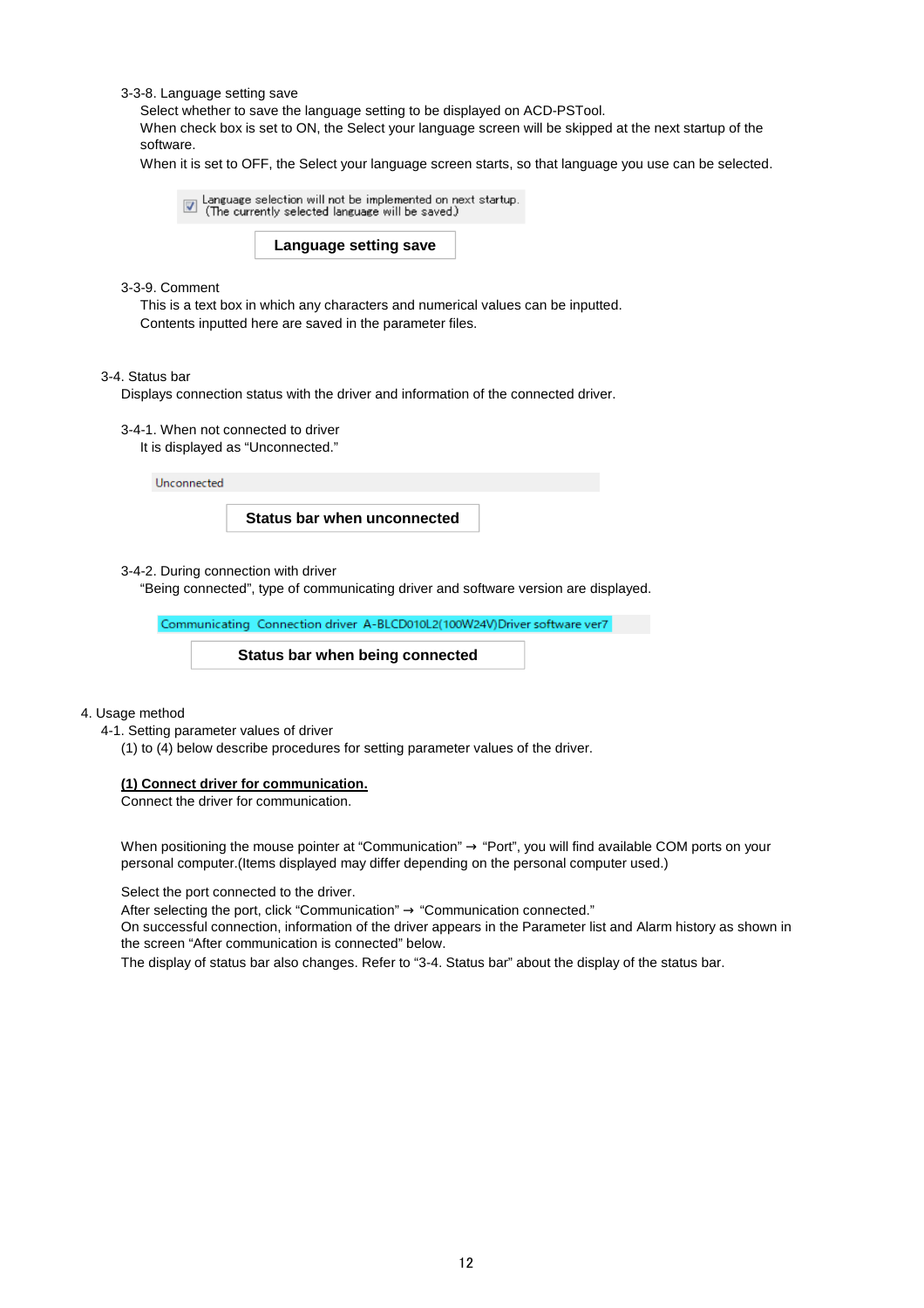3-3-8. Language setting save

Select whether to save the language setting to be displayed on ACD-PSTool.

When check box is set to ON, the Select your language screen will be skipped at the next startup of the software.

When it is set to OFF, the Select your language screen starts, so that language you use can be selected.

 $\boxed{\textcolor{blue}{\blacksquare}}$  Language selection will not be implemented on next startup.<br>
(The currently selected language will be saved.)

#### **Language setting save**

#### 3-3-9. Comment

This is a text box in which any characters and numerical values can be inputted. Contents inputted here are saved in the parameter files.

#### 3-4. Status bar

Displays connection status with the driver and information of the connected driver.

- 3-4-1. When not connected to driver
	- It is displayed as "Unconnected."

Unconnected

#### **Status bar when unconnected**

3-4-2. During connection with driver

"Being connected", type of communicating driver and software version are displayed.

Communicating Connection driver A-BLCD010L2(100W24V)Driver software ver7

**Status bar when being connected**

#### 4. Usage method

4-1. Setting parameter values of driver

(1) to (4) below describe procedures for setting parameter values of the driver.

#### **(1) Connect driver for communication.**

Connect the driver for communication.

When positioning the mouse pointer at "Communication" → "Port", you will find available COM ports on your personal computer.(Items displayed may differ depending on the personal computer used.)

Select the port connected to the driver.

After selecting the port, click "Communication"  $\rightarrow$  "Communication connected."

On successful connection, information of the driver appears in the Parameter list and Alarm history as shown in the screen "After communication is connected" below.

The display of status bar also changes. Refer to "3-4. Status bar" about the display of the status bar.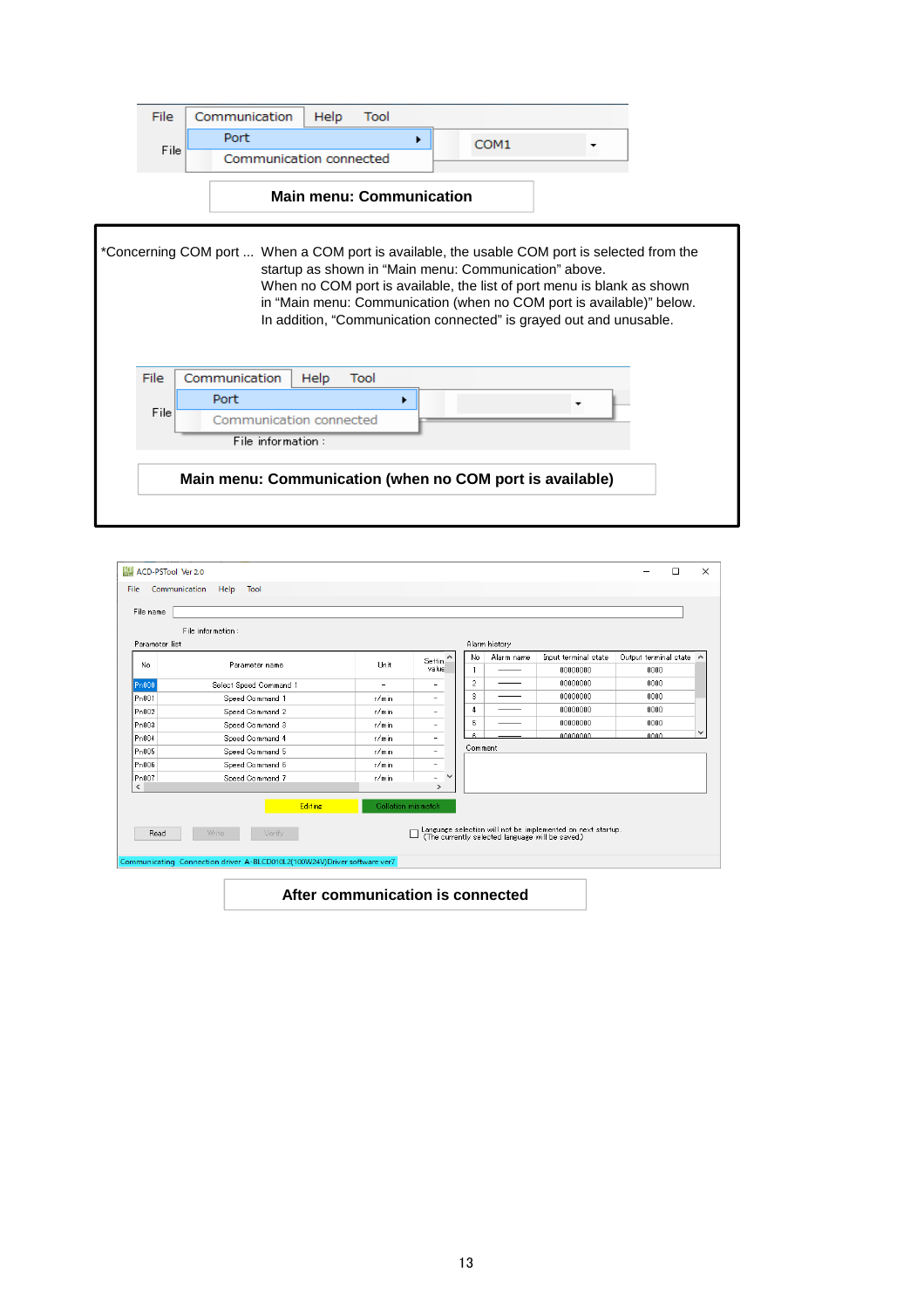

|                   |                        |                          |                          |                       | Alarm history |                                                                                                                |                       |
|-------------------|------------------------|--------------------------|--------------------------|-----------------------|---------------|----------------------------------------------------------------------------------------------------------------|-----------------------|
| No.               | Parameter name         | Unit                     | Settin.<br>value         | No                    | Alarm name    | Input terminal state                                                                                           | Output terminal state |
|                   |                        |                          |                          |                       |               | 00000000<br>00000000                                                                                           | 0000<br>0000          |
| Pn000             | Select Speed Command 1 | $\overline{\phantom{0}}$ |                          | $\overline{2}$        |               |                                                                                                                |                       |
| Pn001             | Speed Command 1        | r/min                    | $\overline{\phantom{a}}$ | 3                     |               | 00000000                                                                                                       | 0000                  |
| Pn002             | Speed Command 2        | r/min                    | ۰                        | 4                     |               | 00000000                                                                                                       | 0000                  |
| Pn003             | Speed Command 3        | r/min                    | -                        | 5<br>00000000<br>0000 |               |                                                                                                                |                       |
| Pn004             | Speed Command 4        | r/min                    | $\overline{\phantom{a}}$ |                       |               | nnnnnnn                                                                                                        | 0000                  |
| P <sub>n005</sub> | Speed Command 5        | r/min                    | ۰                        | Comment               |               |                                                                                                                |                       |
| Pn006             | Speed Command 6        | r/min                    | $\overline{\phantom{a}}$ |                       |               |                                                                                                                |                       |
| Pn007             | Speed Command 7        | r/min                    | $\checkmark$<br>٠        |                       |               |                                                                                                                |                       |
| ∢                 | <b>Editing</b>         | Collation mismatch       | $\rightarrow$            |                       |               |                                                                                                                |                       |
|                   |                        |                          |                          |                       |               | Language selection will not be implemented on next startup.<br>(The currently selected language will be saved) |                       |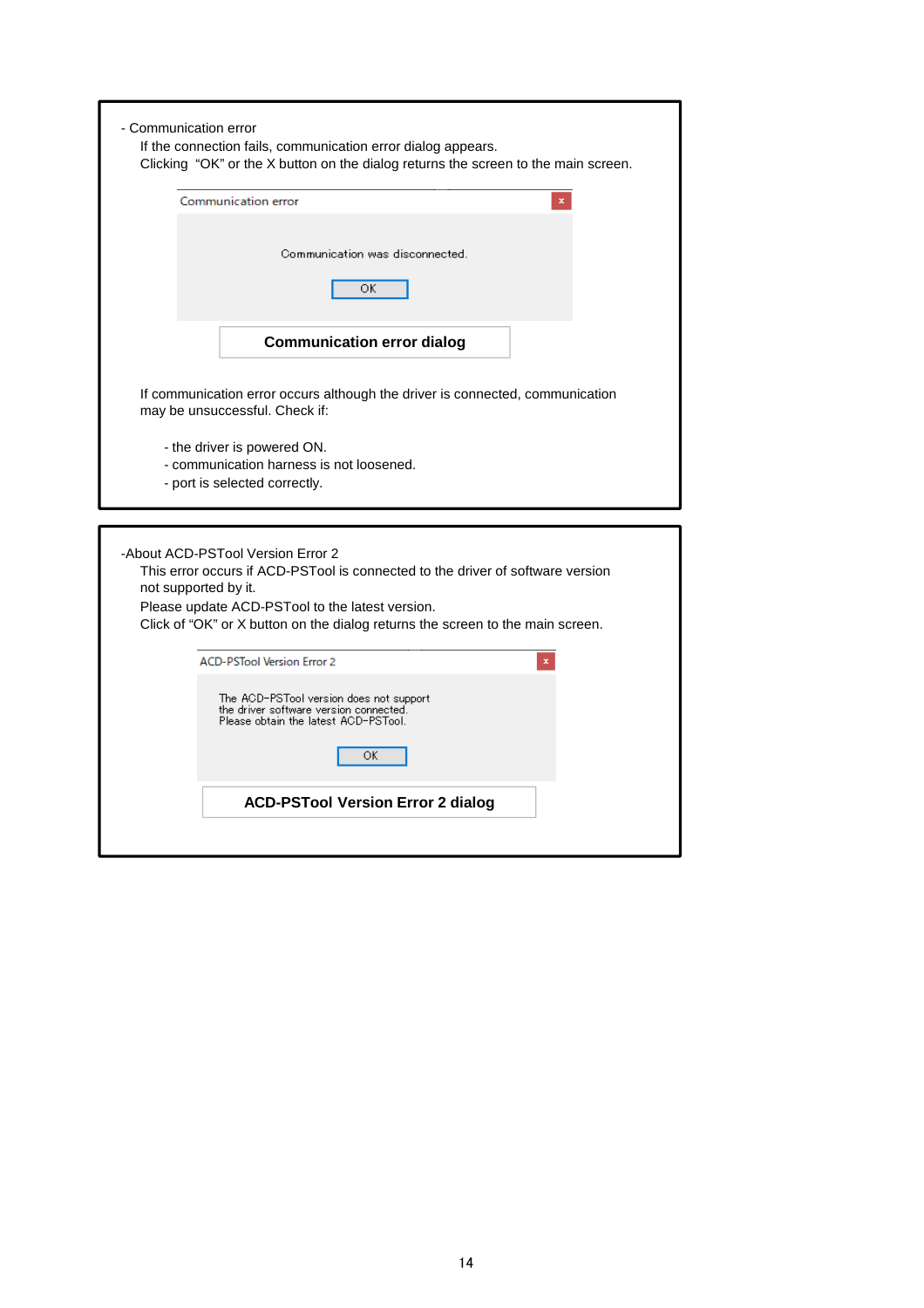| - Communication error<br>If the connection fails, communication error dialog appears.                                                                                                                                                                                            |
|----------------------------------------------------------------------------------------------------------------------------------------------------------------------------------------------------------------------------------------------------------------------------------|
| Clicking "OK" or the X button on the dialog returns the screen to the main screen.                                                                                                                                                                                               |
| Communication error                                                                                                                                                                                                                                                              |
| Communication was disconnected.<br>ОК                                                                                                                                                                                                                                            |
| <b>Communication error dialog</b>                                                                                                                                                                                                                                                |
| If communication error occurs although the driver is connected, communication<br>may be unsuccessful. Check if:                                                                                                                                                                  |
| - the driver is powered ON.<br>- communication harness is not loosened.<br>- port is selected correctly.                                                                                                                                                                         |
| -About ACD-PSTool Version Error 2<br>This error occurs if ACD-PSTool is connected to the driver of software version<br>not supported by it.<br>Please update ACD-PSTool to the latest version.<br>Click of "OK" or X button on the dialog returns the screen to the main screen. |
| <b>ACD-PSTool Version Error 2</b>                                                                                                                                                                                                                                                |
| The ACD-PSTool version does not support<br>the driver software version connected.<br>Please obtain the latest ACD-PSTool.<br>ОК                                                                                                                                                  |
| <b>ACD-PSTool Version Error 2 dialog</b>                                                                                                                                                                                                                                         |
|                                                                                                                                                                                                                                                                                  |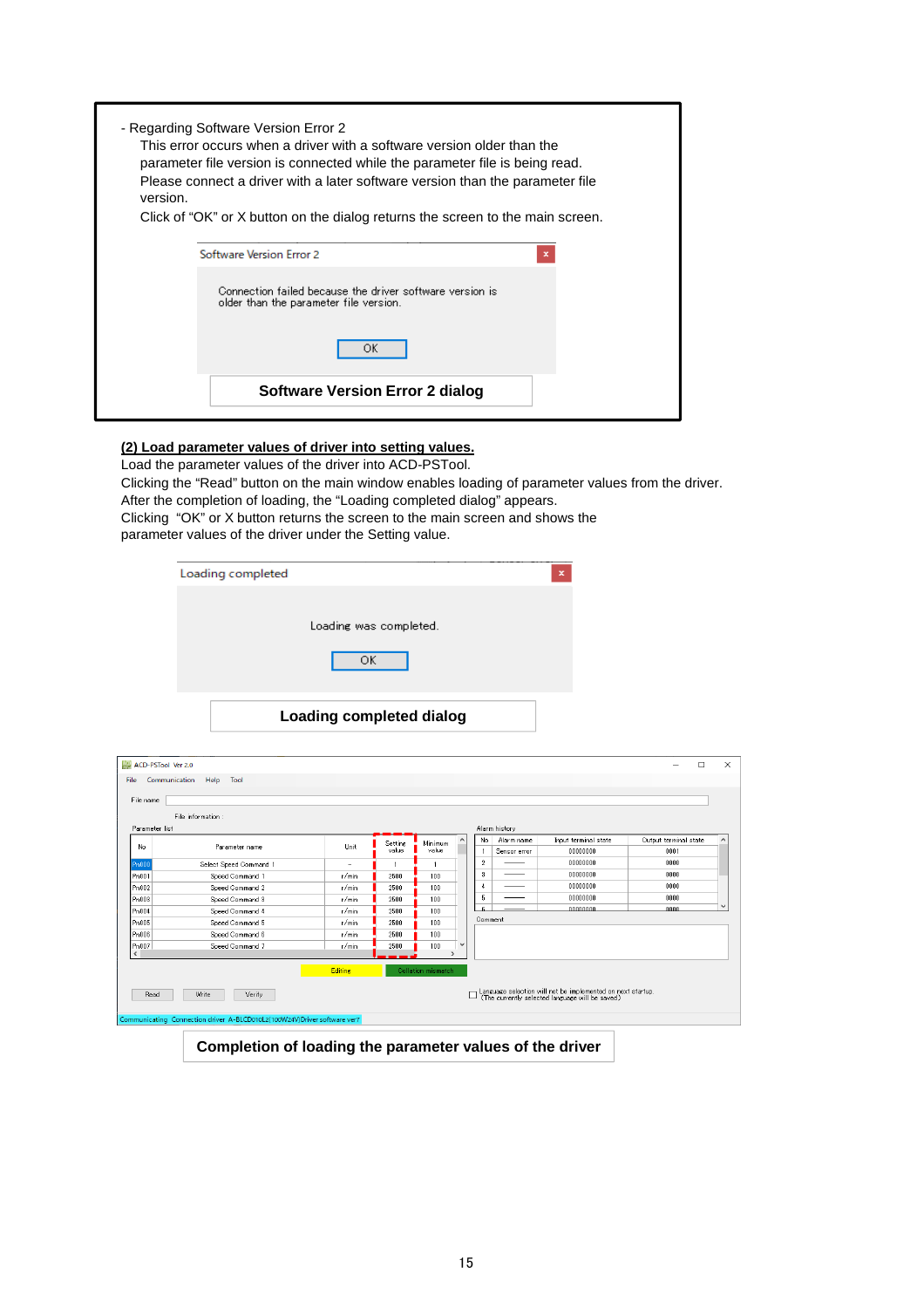| - Regarding Software Version Error 2<br>This error occurs when a driver with a software version older than the<br>parameter file version is connected while the parameter file is being read.<br>Please connect a driver with a later software version than the parameter file<br>version. |
|--------------------------------------------------------------------------------------------------------------------------------------------------------------------------------------------------------------------------------------------------------------------------------------------|
| Click of "OK" or X button on the dialog returns the screen to the main screen.                                                                                                                                                                                                             |
| Software Version Error 2<br>×                                                                                                                                                                                                                                                              |
| Connection failed because the driver software version is<br>older than the parameter file version.                                                                                                                                                                                         |
| ОK                                                                                                                                                                                                                                                                                         |
| Software Version Error 2 dialog                                                                                                                                                                                                                                                            |

#### **(2) Load parameter values of driver into setting values.**

Load the parameter values of the driver into ACD-PSTool. Clicking the "Read" button on the main window enables loading of parameter values from the driver. After the completion of loading, the "Loading completed dialog" appears. Clicking "OK" or X button returns the screen to the main screen and shows the parameter values of the driver under the Setting value.

| Loading completed |                                 | × |
|-------------------|---------------------------------|---|
|                   | Loading was completed.          |   |
|                   | ОK                              |   |
|                   |                                 |   |
|                   | <b>Loading completed dialog</b> |   |

|                    | ACD-PSTool Ver 2.0                                                       |                          |         |                                 |              |                   |               |                                                                                                                 | $\Box$                | $\times$              |
|--------------------|--------------------------------------------------------------------------|--------------------------|---------|---------------------------------|--------------|-------------------|---------------|-----------------------------------------------------------------------------------------------------------------|-----------------------|-----------------------|
|                    |                                                                          |                          |         |                                 |              |                   |               |                                                                                                                 |                       |                       |
| File               | Communication<br>Help Tool                                               |                          |         |                                 |              |                   |               |                                                                                                                 |                       |                       |
| File name          |                                                                          |                          |         |                                 |              |                   |               |                                                                                                                 |                       |                       |
|                    | File information:                                                        |                          |         |                                 |              |                   |               |                                                                                                                 |                       |                       |
| Parameter list     |                                                                          |                          |         |                                 |              |                   | Alarm history |                                                                                                                 |                       |                       |
|                    |                                                                          |                          | Setting | Minimum                         |              | No.               | Alarm name    | Input terminal state                                                                                            | Output terminal state | $\boldsymbol{\wedge}$ |
| No                 | Parameter name                                                           | Unit                     | value   | value                           |              |                   | Sensor error  | 00000000                                                                                                        | 0001                  |                       |
| Pn000              | Select Speed Command                                                     | $\overline{\phantom{a}}$ |         |                                 |              | $\overline{2}$    |               | nnnnnnn                                                                                                         | 0000                  |                       |
| Pn001              | Speed Command 1                                                          | r/min                    | 2500    | 100                             |              | $\scriptstyle{3}$ |               | 00000000                                                                                                        | 0000                  |                       |
| Pn002              | Speed Command 2                                                          | r/min                    | 2500    | 100                             |              | 4                 |               | 00000000                                                                                                        | 0000                  |                       |
| Pn003              | Speed Command 3                                                          | r/min                    | 2500    | 100                             |              | 5                 |               | 00000000                                                                                                        | 0000                  |                       |
| Pn004              | Speed Command 4                                                          | r/min                    | 2500    | 100                             |              | e                 |               | nnnnnnnn                                                                                                        | 0000                  | $\checkmark$          |
| Pn005              | Speed Command 5                                                          | r/min                    | 2500    | 100                             |              | Comment           |               |                                                                                                                 |                       |                       |
| Pn006              | Speed Command 6                                                          | r/min                    | 2500    | 100                             |              |                   |               |                                                                                                                 |                       |                       |
| Pn007<br>$\langle$ | Speed Command 7                                                          | r/min                    | 2500    | 100<br>$\overline{\phantom{a}}$ | $\checkmark$ |                   |               |                                                                                                                 |                       |                       |
|                    |                                                                          |                          |         |                                 |              |                   |               |                                                                                                                 |                       |                       |
|                    |                                                                          | <b>Editing</b>           |         | Collation mismatch              |              |                   |               |                                                                                                                 |                       |                       |
|                    |                                                                          |                          |         |                                 |              |                   |               |                                                                                                                 |                       |                       |
| Read               | Write<br>Verify                                                          |                          |         |                                 |              |                   |               | Language selection will not be implemented on next startup.<br>(The currently selected language will be saved.) |                       |                       |
|                    |                                                                          |                          |         |                                 |              |                   |               |                                                                                                                 |                       |                       |
|                    | Communicating Connection driver A-BLCD010L2(100W24V)Driver software ver7 |                          |         |                                 |              |                   |               |                                                                                                                 |                       |                       |

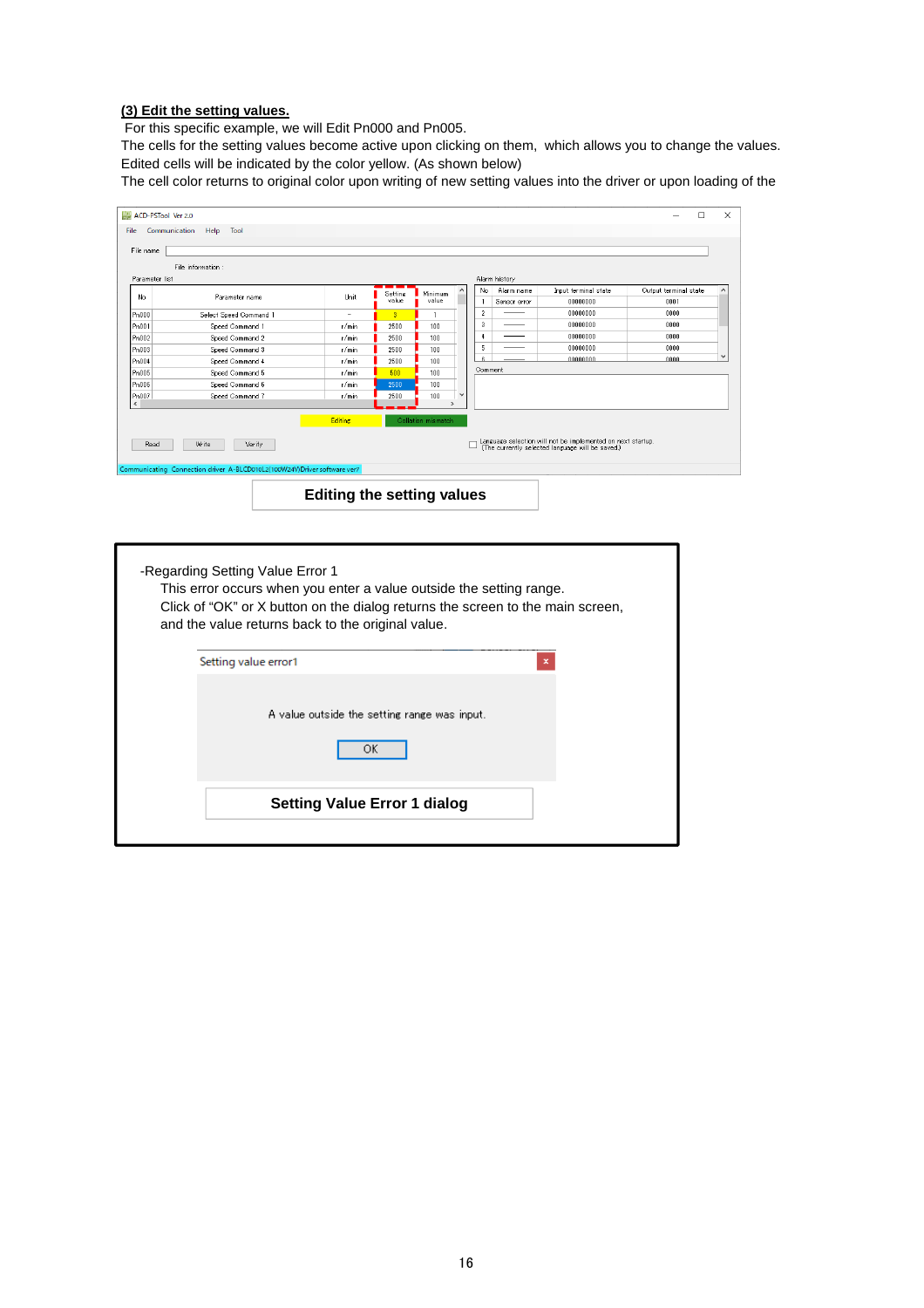#### **(3) Edit the setting values.**

For this specific example, we will Edit Pn000 and Pn005.

Edited cells will be indicated by the color yellow. (As shown below) The cells for the setting values become active upon clicking on them, which allows you to change the values.

The cell color returns to original color upon writing of new setting values into the driver or upon loading of the

|                          | ACD-PSTool Ver 2.0                                                       |                |                         |                          |              |                  |               |                                                                                                                | $\Box$                | $\times$     |  |
|--------------------------|--------------------------------------------------------------------------|----------------|-------------------------|--------------------------|--------------|------------------|---------------|----------------------------------------------------------------------------------------------------------------|-----------------------|--------------|--|
| File                     | Help<br>Tool<br>Communication                                            |                |                         |                          |              |                  |               |                                                                                                                |                       |              |  |
| File name                |                                                                          |                |                         |                          |              |                  |               |                                                                                                                |                       |              |  |
|                          |                                                                          |                |                         |                          |              |                  |               |                                                                                                                |                       |              |  |
|                          | File information:                                                        |                |                         |                          |              |                  |               |                                                                                                                |                       |              |  |
| Parameter list           |                                                                          |                |                         |                          |              |                  | Alarm history |                                                                                                                |                       |              |  |
| No                       | Parameter name                                                           | Unit           | Setting                 | Minimum                  | $\wedge$     | No               | Alarm name    | Input terminal state                                                                                           | Output terminal state |              |  |
|                          |                                                                          |                | value                   | value                    |              |                  | Sensor error  | 00000000                                                                                                       | 0001                  |              |  |
| Pn000                    | Select Speed Command 1                                                   | ٠              | $\overline{\mathbf{3}}$ |                          |              | $\overline{2}$   |               | 00000000                                                                                                       | 0000                  |              |  |
| Pn001                    | Speed Command 1                                                          | r/min          | 2500                    | 100                      |              | 3                |               | 00000000                                                                                                       | 0000                  |              |  |
| Pn002                    | Speed Command 2                                                          | r/min          | 2500                    | 100                      |              | $\boldsymbol{4}$ |               | 00000000                                                                                                       | 0000                  |              |  |
| Pn003                    | Speed Command 3                                                          | r/min          | 2500                    | 100                      |              | 5                |               | 00000000                                                                                                       | 0000                  | $\checkmark$ |  |
| Pn004                    | Speed Command 4                                                          | r/min          | 2500                    | 100                      |              | ×.               |               | 00000000                                                                                                       | 0000                  |              |  |
| Pn005                    | Speed Command 5                                                          | r/min          | 500                     | 100                      |              | Comment          |               |                                                                                                                |                       |              |  |
| Pn006                    | Speed Command 6                                                          | r/min          | 2500                    | 100                      |              |                  |               |                                                                                                                |                       |              |  |
| Pn007                    | Speed Command 7                                                          | r/min          | 2500                    | 100                      | $\checkmark$ |                  |               |                                                                                                                |                       |              |  |
| $\overline{\phantom{a}}$ |                                                                          |                |                         | $\overline{\phantom{a}}$ |              |                  |               |                                                                                                                |                       |              |  |
|                          |                                                                          | <b>Editing</b> |                         | Collation mismatch       |              |                  |               |                                                                                                                |                       |              |  |
|                          |                                                                          |                |                         |                          |              |                  |               |                                                                                                                |                       |              |  |
| Read                     | Write<br>Verify                                                          |                |                         |                          |              |                  |               | Language selection will not be implemented on next startup.<br>(The currently selected language will be saved) |                       |              |  |
|                          |                                                                          |                |                         |                          |              |                  |               |                                                                                                                |                       |              |  |
|                          | Communicating Connection driver A-BLCD010L2(100W24V)Driver software ver7 |                |                         |                          |              |                  |               |                                                                                                                |                       |              |  |
|                          |                                                                          |                |                         |                          |              |                  |               |                                                                                                                |                       |              |  |
|                          |                                                                          |                |                         |                          |              |                  |               |                                                                                                                |                       |              |  |

**Editing the setting values**

| -Regarding Setting Value Error 1<br>This error occurs when you enter a value outside the setting range.<br>Click of "OK" or X button on the dialog returns the screen to the main screen,<br>and the value returns back to the original value. |
|------------------------------------------------------------------------------------------------------------------------------------------------------------------------------------------------------------------------------------------------|
| Setting value error1<br>×                                                                                                                                                                                                                      |
| A value outside the setting range was input.<br>ОК                                                                                                                                                                                             |
| Setting Value Error 1 dialog                                                                                                                                                                                                                   |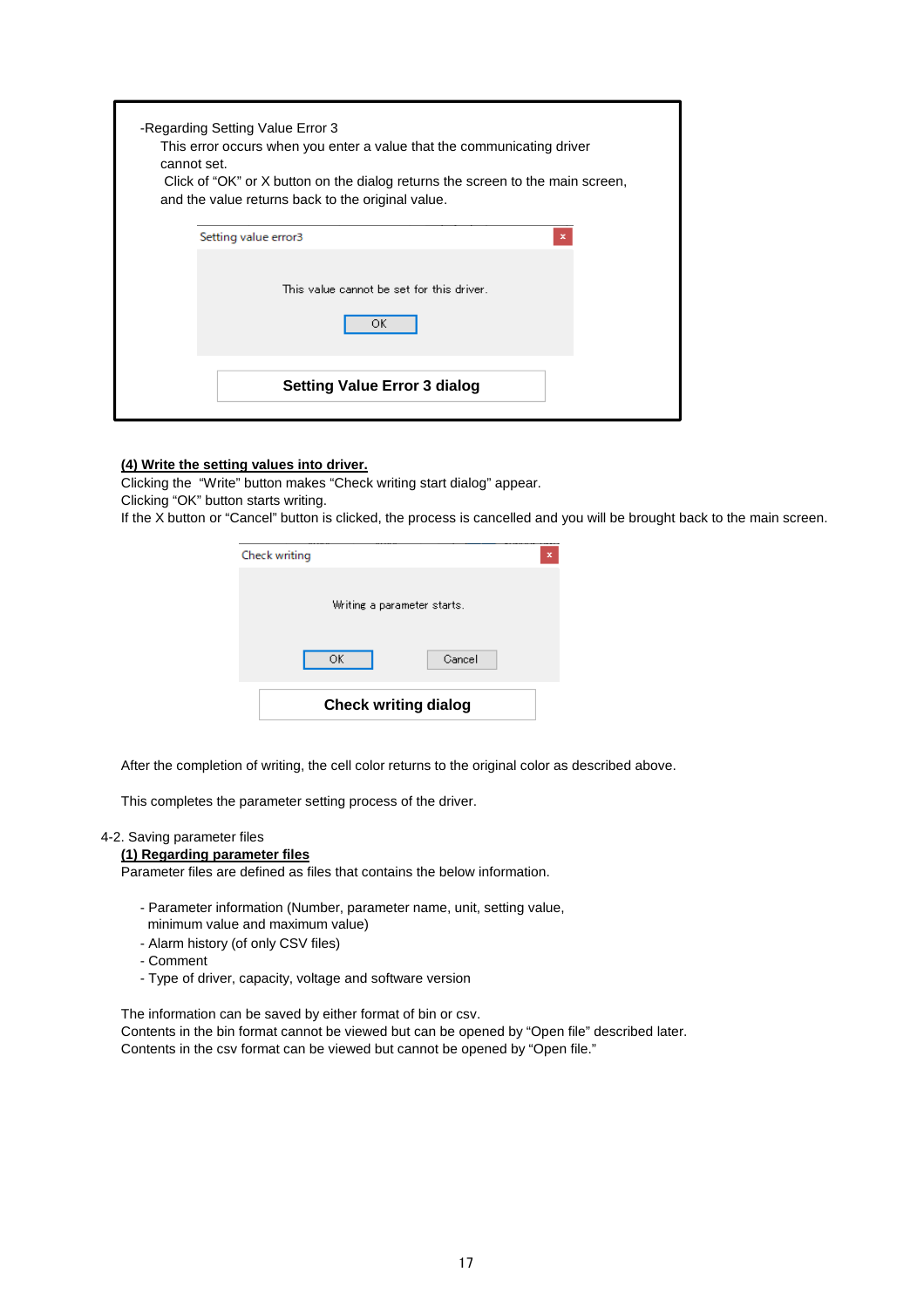| cannot set. | -Regarding Setting Value Error 3<br>This error occurs when you enter a value that the communicating driver<br>Click of "OK" or X button on the dialog returns the screen to the main screen,<br>and the value returns back to the original value. |  |
|-------------|---------------------------------------------------------------------------------------------------------------------------------------------------------------------------------------------------------------------------------------------------|--|
|             | Setting value error3<br>x                                                                                                                                                                                                                         |  |
|             | This value cannot be set for this driver.<br>ОK                                                                                                                                                                                                   |  |
|             | <b>Setting Value Error 3 dialog</b>                                                                                                                                                                                                               |  |

#### **(4) Write the setting values into driver.**

Clicking the "Write" button makes "Check writing start dialog" appear.

Clicking "OK" button starts writing.

If the X button or "Cancel" button is clicked, the process is cancelled and you will be brought back to the main screen.

| Check writing               | × |
|-----------------------------|---|
| Writing a parameter starts. |   |
| OK.<br>Cancel               |   |
| <b>Check writing dialog</b> |   |

After the completion of writing, the cell color returns to the original color as described above.

This completes the parameter setting process of the driver.

#### 4-2. Saving parameter files

#### **(1) Regarding parameter files**

Parameter files are defined as files that contains the below information.

- Parameter information (Number, parameter name, unit, setting value,
- minimum value and maximum value)
- Alarm history (of only CSV files)
- Comment
- Type of driver, capacity, voltage and software version

The information can be saved by either format of bin or csv.

Contents in the bin format cannot be viewed but can be opened by "Open file" described later. Contents in the csv format can be viewed but cannot be opened by "Open file."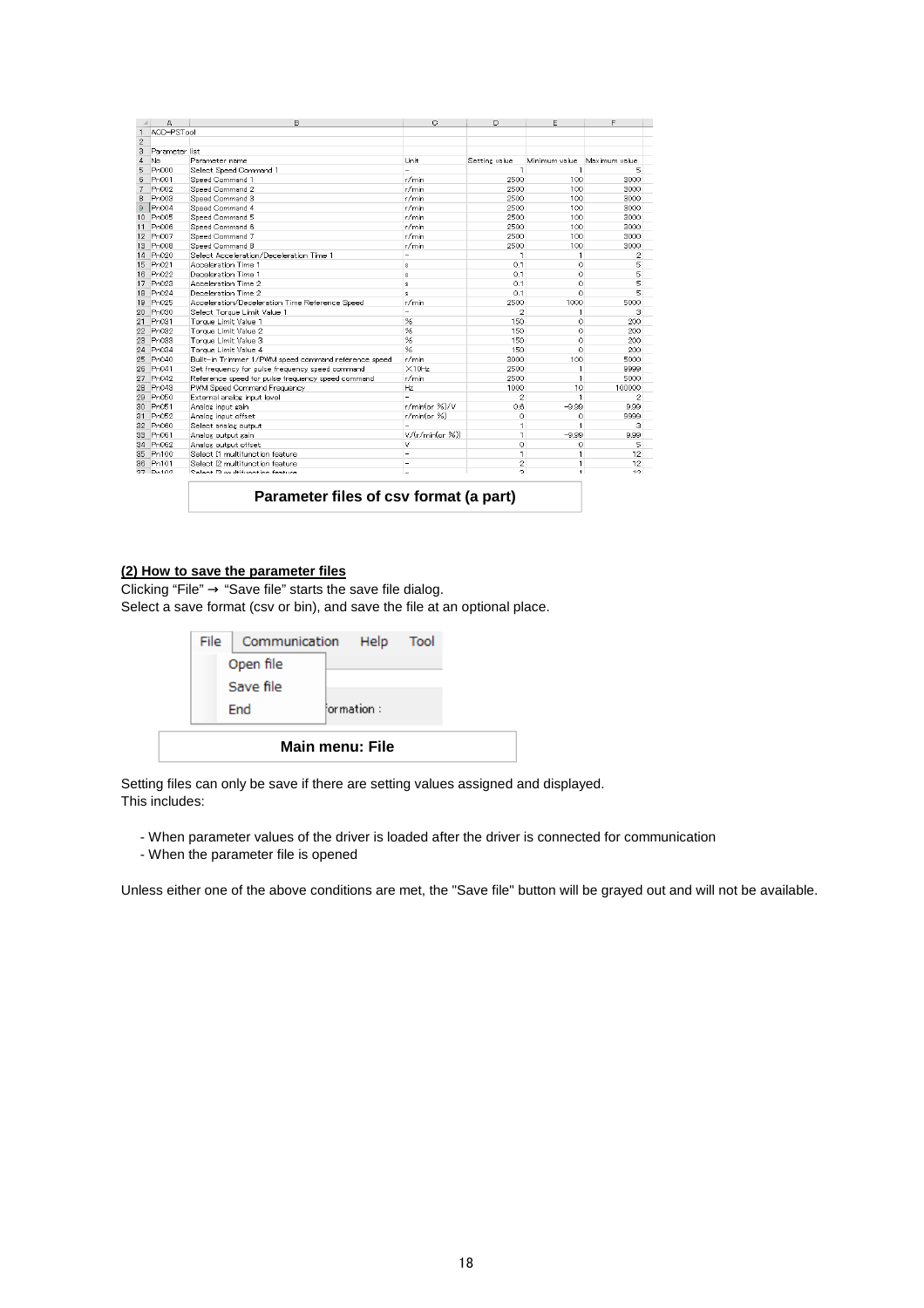| $\cal A$        | A                 | B                                                    | $\circ$          | D              | F             | F             |
|-----------------|-------------------|------------------------------------------------------|------------------|----------------|---------------|---------------|
| $\mathbf{1}$    | ACD-PSTool        |                                                      |                  |                |               |               |
| $\overline{2}$  |                   |                                                      |                  |                |               |               |
| 3               | Parameter list    |                                                      |                  |                |               |               |
| 4               | No.               | Parameter name                                       | Unit             | Setting value  | Minimum value | Maximum value |
| 5               | Pn000             | Select Speed Command 1                               | -                | 1              | 1             | 5             |
| 6               | Pn001             | Speed Command 1                                      | r/min            | 2500           | 100           | 3000          |
| 7               | Pn002             | Speed Command 2                                      | r/min            | 2500           | 100           | 3000          |
| 8               | Pn003             | Speed Command 3                                      | r/min            | 2500           | 100           | 3000          |
| 9               | Pn004             | Speed Command 4                                      | r/min            | 2500           | 100           | 3000          |
| 10              | Pn005             | Speed Command 5                                      | r/min            | 2500           | 100           | 3000          |
| 11              | Pn006             | Speed Command 6                                      | r/min            | 2500           | 100           | 3000          |
| 12 <sup>2</sup> | Pn007             | Speed Command 7                                      | r/min            | 2500           | 100           | 3000          |
| 13              | Pn008             | Speed Command 8                                      | r/min            | 2500           | 100           | 3000          |
| 14              | Pn020             | Select Acceleration/Deceleration Time 1              | ä,               | 1              | 1             | 2             |
| 15              | Pn021             | Acceleration Time 1                                  | s.               | 0.1            | $\circ$       | 5             |
|                 | 16 Pn022          | Deceleration Time 1                                  | s                | 0.1            | $\Omega$      | 5             |
| 17              | Pn023             | Acceleration Time 2                                  | s                | 0.1            | $\theta$      | 5             |
| 18              | Pn024             | Deceleration Time 2                                  | ×.               | 0.1            | $\Omega$      | 5             |
| 19              | Pn025             | Acceleration/Deceleration Time Reference Speed       | r/min            | 2500           | 1000          | 5000          |
| 20              | Pn030             | Select Torque Limit Value 1                          |                  | 2              | 1             | З             |
| 21              | Pn031             | Torque Limit Value 1                                 | %                | 150            | $\theta$      | 200           |
| $^{22}$         | Pn032             | Torque Limit Value 2                                 | %                | 150            | $\Omega$      | 200           |
| 23              | Pn033             | Torque Limit Value 3                                 | %                | 150            | $\circ$       | 200           |
| 24              | Pn034             | Torque Limit Value 4                                 | %                | 150            | $\Omega$      | 200           |
| 25              | Pn040             | Built-in Trimmer 1/PWM speed command reference speed | r/min            | 3000           | 100           | 5000          |
| 26              | Pn041             | Set frequency for pulse frequency speed command      | $\times$ 10Hz    | 2500           | 1             | 9999          |
| 27              | Pn042             | Reference speed for pulse frequency speed command    | r/min            | 2500           | 1             | 5000          |
| 28              | Pn043             | PWM Speed Command Frequency                          | Hz               | 1000           | 10            | 100000        |
| 29              | Pn050             | External analog input level                          | ä,               | 2              | 1             | 2             |
| 30              | P <sub>n051</sub> | Analog input gain                                    | r/min(or %)/V    | 0.6            | $-9.99$       | 9.99          |
| 31              | P <sub>n052</sub> | Analog input offset                                  | r/min(or %)      | $\circ$        | 0             | 9999          |
| 32 <sub>2</sub> | Pn060             | Select analog output                                 |                  | 1              | 1             | З             |
| 33              | Pn061             | Analog output gain                                   | V/(r/min(or 96)) | 1              | $-9.99$       | 9.99          |
| 34              | P <sub>n062</sub> | Analog output offset                                 | v                | 0              | 0             | 5             |
| 35              | Pn100             | Select I1 multifunction feature                      |                  | 1              | 1             | 12            |
| 36              | Pn101             | Select 12 multifunction feature                      |                  | $\overline{2}$ | 1             | 12            |
|                 | 27 Pot00          | Relent 19 multifunction festure                      |                  | $\circ$        | п.            | 12            |
|                 |                   | Parameter files of csv format (a part)               |                  |                |               |               |

#### **(2) How to save the parameter files**

Clicking "File"  $\rightarrow$  "Save file" starts the save file dialog. Select a save format (csv or bin), and save the file at an optional place.

|  | File   Communication Help Tool<br>Open file |             |  |  |
|--|---------------------------------------------|-------------|--|--|
|  | Save file<br><b>Fnd</b>                     | formation : |  |  |
|  | Main menu: File                             |             |  |  |

Setting files can only be save if there are setting values assigned and displayed. This includes:

- When parameter values of the driver is loaded after the driver is connected for communication
- When the parameter file is opened

Unless either one of the above conditions are met, the "Save file" button will be grayed out and will not be available.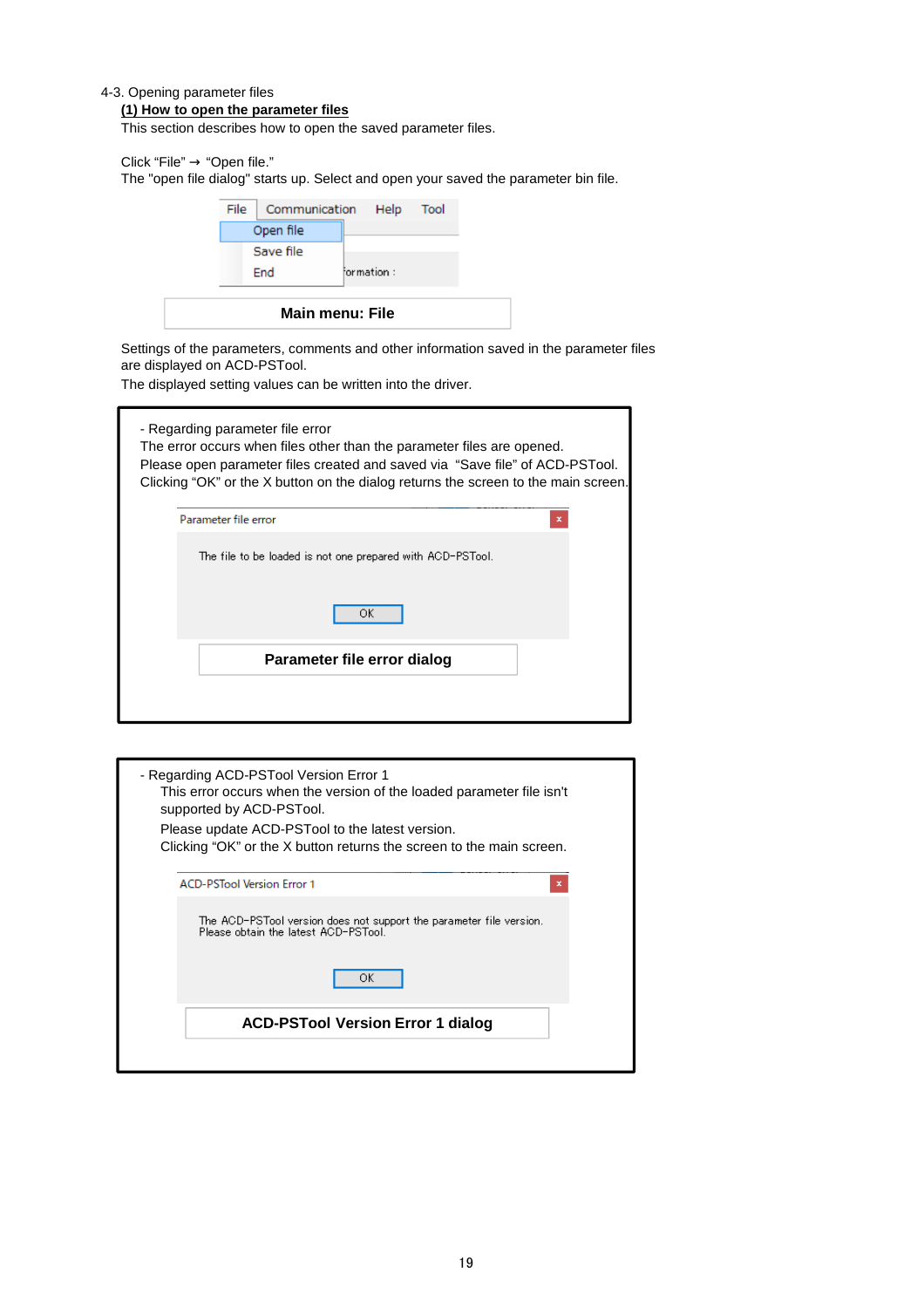#### 4-3. Opening parameter files

#### **(1) How to open the parameter files**

This section describes how to open the saved parameter files.

Click "File" → "Open file."

The "open file dialog" starts up. Select and open your saved the parameter bin file.

| File | Communication Help Tool |             |  |
|------|-------------------------|-------------|--|
|      | Open file               |             |  |
|      | Save file               |             |  |
|      | <b>End</b>              | formation : |  |
|      |                         |             |  |
|      | <b>Main menu: File</b>  |             |  |

Settings of the parameters, comments and other information saved in the parameter files are displayed on ACD-PSTool.

The displayed setting values can be written into the driver.

| - Regarding parameter file error<br>The error occurs when files other than the parameter files are opened.<br>Please open parameter files created and saved via "Save file" of ACD-PSTool. |   |
|--------------------------------------------------------------------------------------------------------------------------------------------------------------------------------------------|---|
| Clicking "OK" or the X button on the dialog returns the screen to the main screen.<br>Parameter file error                                                                                 | × |
| The file to be loaded is not one prepared with ACD-PSTool.                                                                                                                                 |   |
| ОК                                                                                                                                                                                         |   |
| Parameter file error dialog                                                                                                                                                                |   |

| - Regarding ACD-PSTool Version Error 1<br>This error occurs when the version of the loaded parameter file isn't<br>supported by ACD-PSTool.<br>Please update ACD-PSTool to the latest version.<br>Clicking "OK" or the X button returns the screen to the main screen. |
|------------------------------------------------------------------------------------------------------------------------------------------------------------------------------------------------------------------------------------------------------------------------|
| <b>ACD-PSTool Version Error 1</b><br>×                                                                                                                                                                                                                                 |
| The ACD-PSTool version does not support the parameter file version.<br>Please obtain the latest ACD-PSTool.                                                                                                                                                            |
| ОК                                                                                                                                                                                                                                                                     |
| <b>ACD-PSTool Version Error 1 dialog</b>                                                                                                                                                                                                                               |
|                                                                                                                                                                                                                                                                        |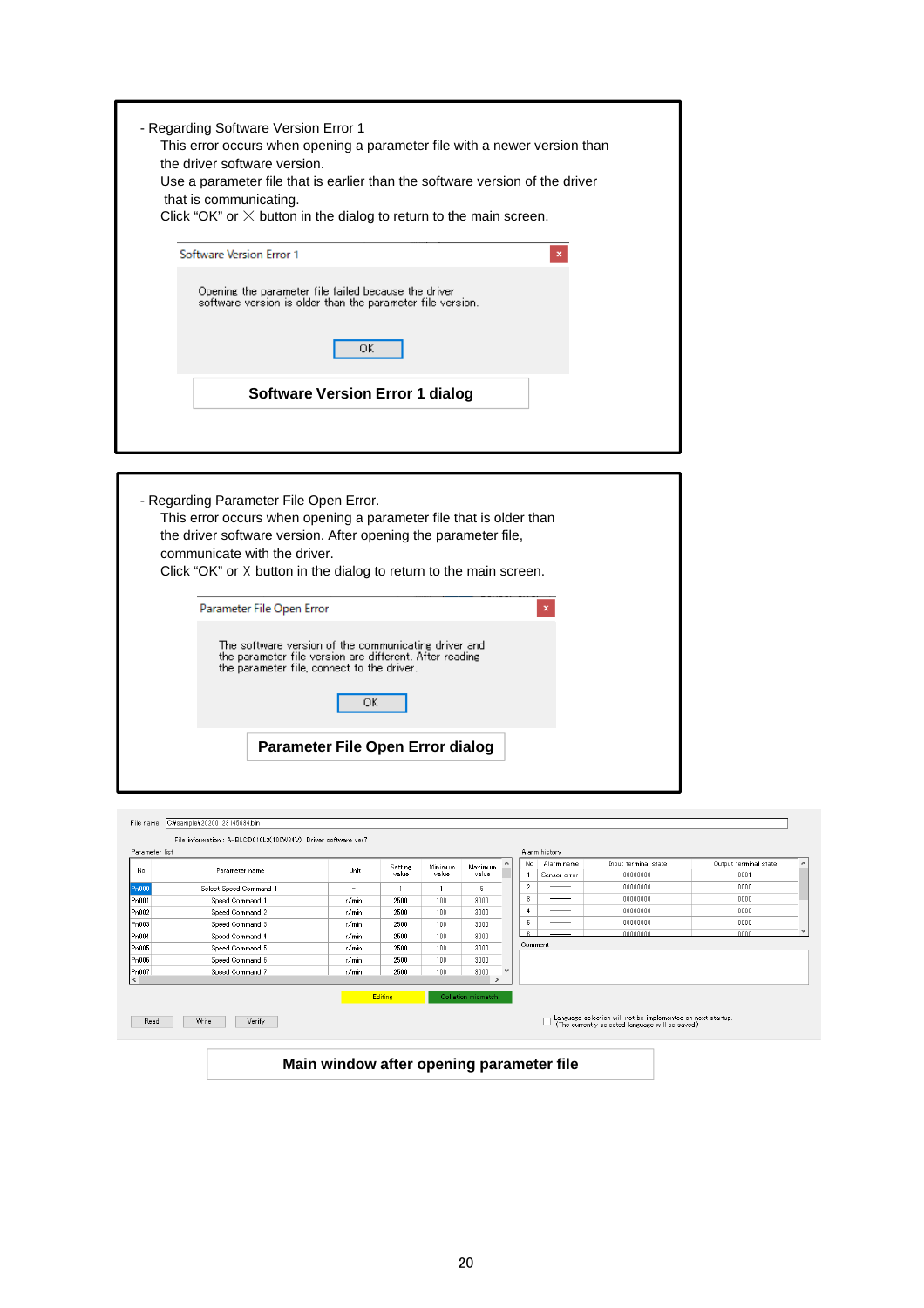| - Regarding Software Version Error 1<br>This error occurs when opening a parameter file with a newer version than<br>the driver software version.<br>Use a parameter file that is earlier than the software version of the driver |
|-----------------------------------------------------------------------------------------------------------------------------------------------------------------------------------------------------------------------------------|
| that is communicating.<br>Click "OK" or $\times$ button in the dialog to return to the main screen.<br>Software Version Error 1<br>x                                                                                              |
| Opening the parameter file failed because the driver<br>software version is older than the parameter file version.<br>ΟK                                                                                                          |
| Software Version Error 1 dialog                                                                                                                                                                                                   |

| - Regarding Parameter File Open Error.<br>This error occurs when opening a parameter file that is older than<br>the driver software version. After opening the parameter file,<br>communicate with the driver.<br>Click "OK" or X button in the dialog to return to the main screen. |  |
|--------------------------------------------------------------------------------------------------------------------------------------------------------------------------------------------------------------------------------------------------------------------------------------|--|
| Parameter File Open Error                                                                                                                                                                                                                                                            |  |
| The software version of the communicating driver and<br>the parameter file version are different. After reading<br>the parameter file, connect to the driver.<br>ОК                                                                                                                  |  |
| Parameter File Open Error dialog                                                                                                                                                                                                                                                     |  |

|           | Parameter list         |                          |                  |                  |                    |              | No.            | Alarm history<br>Alarm name | Input terminal state | Output terminal state |
|-----------|------------------------|--------------------------|------------------|------------------|--------------------|--------------|----------------|-----------------------------|----------------------|-----------------------|
| No.       | Parameter name         | Unit                     | Setting<br>value | Minimum<br>value | Maximum<br>value   |              |                | Sensor error                | 00000000             | 0001                  |
| Pn000     | Select Speed Command 1 | $\overline{\phantom{a}}$ |                  |                  | 5.                 |              | $\overline{2}$ |                             | 00000000             | 0000                  |
| Pn001     | Speed Command 1        | r/min                    | 2500             | 100              | 3000               |              | 3              |                             | 00000000             | 0000                  |
| Pn002     | Speed Command 2        | r/min                    | 2500             | 100              | 3000               |              |                |                             | 00000000             | 0000                  |
| Pn003     | Speed Command 3        | r/min                    | 2500             | 100              | 3000               |              | 5              |                             | 00000000             | 0000                  |
| Pn004     | Speed Command 4        | r/min                    | 2500             | 100              | 3000               |              |                |                             | 00000000             | nnnn                  |
| Pn005     | Speed Command 5        | r/min                    | 2500             | 100              | 3000               |              | Comment        |                             |                      |                       |
| Pn006     | Speed Command 6        | r/min                    | 2500             | 100              | 3000               |              |                |                             |                      |                       |
| Pn007     | Speed Command 7        | r/min                    | 2500             | 100              | 3000               | $\checkmark$ |                |                             |                      |                       |
| $\langle$ |                        |                          |                  |                  | $\rightarrow$      |              |                |                             |                      |                       |
|           |                        |                          | <b>Editing</b>   |                  | Collation mismatch |              |                |                             |                      |                       |

**Main window after opening parameter file**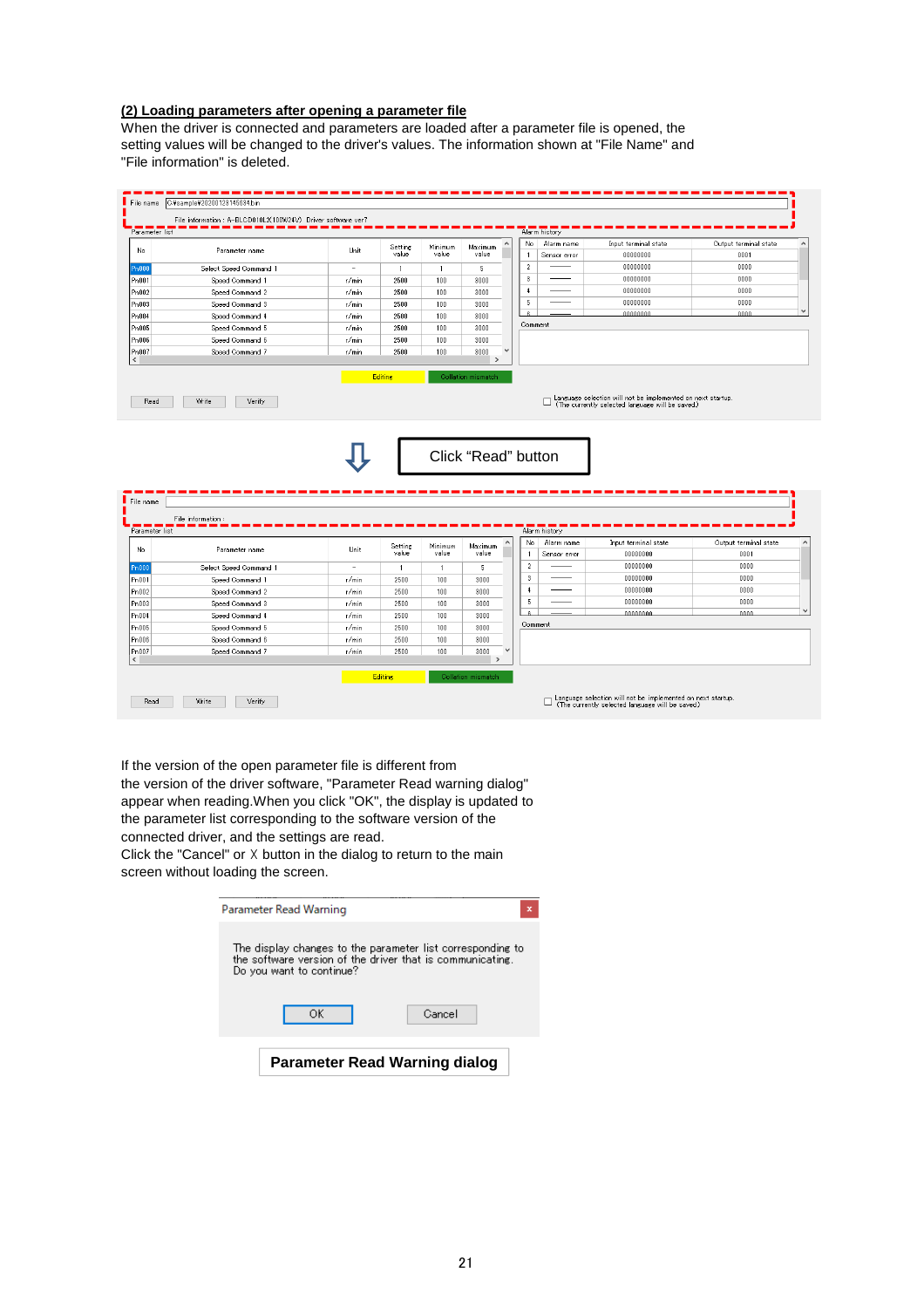#### **(2) Loading parameters after opening a parameter file**

When the driver is connected and parameters are loaded after a parameter file is opened, the setting values will be changed to the driver's values. The information shown at "File Name" and "File information" is deleted.

| Parameter list                                                                                               | File information: A-BLCD010L2(100W24V) Driver software ver7 |                          |                  |                  |                       | Alarm history                                     |                                                                                                                |                               |
|--------------------------------------------------------------------------------------------------------------|-------------------------------------------------------------|--------------------------|------------------|------------------|-----------------------|---------------------------------------------------|----------------------------------------------------------------------------------------------------------------|-------------------------------|
| No.                                                                                                          | Parameter name                                              | <b>Ilhit</b>             | Setting          | Minimum          | Maximum               | No<br>Alarm name                                  | Input terminal state                                                                                           | Output terminal state         |
|                                                                                                              |                                                             |                          | value            | value            | value                 | Sensor error                                      | 00000000                                                                                                       | 0001                          |
| Pn000                                                                                                        | Select Speed Command 1                                      | $\sim$                   | $\overline{1}$   | $\mathbf{1}$     | 5                     | $\overline{2}$                                    | 00000000                                                                                                       | 0000                          |
| Pn001                                                                                                        | Speed Command 1                                             | r/min                    | 2500             | 100              | 3000                  | $\mathbf{3}$                                      | 00000000                                                                                                       | 0000                          |
| Pn002                                                                                                        | Speed Command 2                                             | $r/m$ in                 | 2500             | 100              | 3000                  | $\ddot{\phantom{1}}$                              | 00000000                                                                                                       | 0000                          |
| Pn003                                                                                                        | Speed Command 3                                             | r/min                    | 2500             | 100              | 3000                  | 5                                                 | 00000000                                                                                                       | 0000                          |
| Pn004                                                                                                        | Speed Command 4                                             | r/mm                     | 2500             | 100              | 3000                  |                                                   | 00000000                                                                                                       | 0000                          |
| Pn005                                                                                                        | Speed Command 5                                             | r/min                    | 2500             | 100              | 3000                  | Comment                                           |                                                                                                                |                               |
| Pn006                                                                                                        | Speed Command 6                                             | r/min                    | 2500             | 100              | 3000                  |                                                   |                                                                                                                |                               |
| Pn007                                                                                                        | Speed Command 7                                             | r/min                    | 2500             | 100              | 3000<br>$\rightarrow$ |                                                   |                                                                                                                |                               |
|                                                                                                              | Write<br>Verify                                             |                          |                  |                  |                       | $\Box$                                            | Language selection will not be implemented on next startup.<br>(The currently selected language will be saved) |                               |
|                                                                                                              |                                                             |                          |                  |                  | Click "Read" button   |                                                   |                                                                                                                |                               |
|                                                                                                              | File information:                                           |                          |                  |                  |                       | Alarm history                                     |                                                                                                                |                               |
|                                                                                                              | Parameter name                                              | Unit                     | Setting<br>value | Minimum<br>value | Maximum<br>value      | No.<br>Alarm name<br>$\mathbf{1}$<br>Sensor error | Input terminal state<br>00000000                                                                               | Output terminal state<br>0001 |
|                                                                                                              | Select Speed Command 1                                      | $\overline{\phantom{a}}$ | $\mathbf{1}$     | $\mathbf{1}$     | -5                    | $\overline{2}$                                    | 00000000                                                                                                       | 0000                          |
|                                                                                                              | Speed Command 1                                             | r/min                    | 2500             | 100              | 3000                  | 3                                                 | 00000000                                                                                                       | 0000                          |
|                                                                                                              | Speed Command 2                                             | r/min                    | 2500             | 100              | 3000                  | $\ddot{ }$                                        | 00000000                                                                                                       | 0000                          |
|                                                                                                              | Speed Command 3                                             | r/min                    | 2500             | 100              | 3000                  | 5                                                 | 00000000                                                                                                       | 0000                          |
|                                                                                                              | Speed Command 4                                             | r/min                    | 2500             | 100              | 3000                  |                                                   | nnnnnnn                                                                                                        | مممم                          |
| Read<br>File name<br>Parameter list<br>No<br>Pn000<br>Pn001<br>Pn002<br>P <sub>n</sub> 003<br>Pn004<br>Pn005 | Speed Command 5                                             | r/min                    | 2500             | 100 <sub>1</sub> | 3000                  | Comment                                           |                                                                                                                |                               |
| Pn006                                                                                                        | Speed Command 6                                             | r/min                    | 2500             | 100              | 3000                  |                                                   |                                                                                                                |                               |
|                                                                                                              | Speed Command 7                                             | r/min                    | 2500             | 100              | 3000                  |                                                   |                                                                                                                |                               |
| Pn007                                                                                                        |                                                             |                          |                  |                  | $\rightarrow$         |                                                   |                                                                                                                |                               |

If the version of the open parameter file is different from the version of the driver software, "Parameter Read warning dialog" appear when reading.When you click "OK", the display is updated to the parameter list corresponding to the software version of the connected driver, and the settings are read.

Click the "Cancel" or ☓ button in the dialog to return to the main screen without loading the screen.

| Parameter Read Warning                                                                                                                              |  |
|-----------------------------------------------------------------------------------------------------------------------------------------------------|--|
| The display changes to the parameter list corresponding to<br>the software version of the driver that is communicating.<br>Do you want to continue? |  |
| ΟK<br>Cancel                                                                                                                                        |  |
| <b>Parameter Read Warning dialog</b>                                                                                                                |  |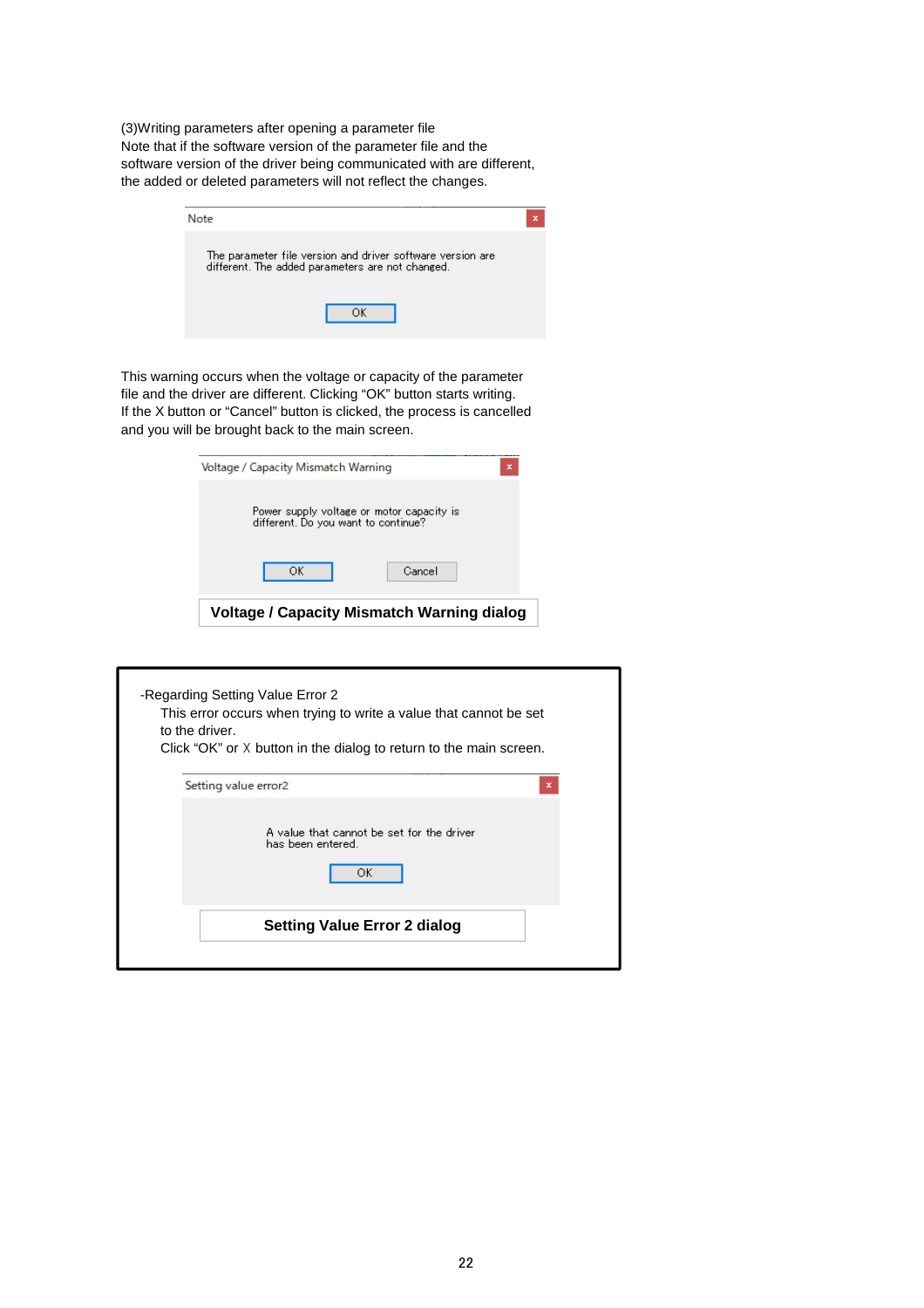(3)Writing parameters after opening a parameter file Note that if the software version of the parameter file and the software version of the driver being communicated with are different, the added or deleted parameters will not reflect the changes.

| Note                                                                                                           |  |
|----------------------------------------------------------------------------------------------------------------|--|
| The parameter file version and driver software version are<br>different. The added parameters are not changed. |  |
|                                                                                                                |  |

This warning occurs when the voltage or capacity of the parameter file and the driver are different. Clicking "OK" button starts writing. If the X button or "Cancel" button is clicked, the process is cancelled and you will be brought back to the main screen.

| Voltage / Capacity Mismatch Warning                                              | ×                                          |
|----------------------------------------------------------------------------------|--------------------------------------------|
| Power supply voltage or motor capacity is<br>different. Do you want to continue? |                                            |
| ОК                                                                               | Cancel                                     |
|                                                                                  | Voltage / Capacity Mismatch Warning dialog |

| -Regarding Setting Value Error 2<br>This error occurs when trying to write a value that cannot be set<br>to the driver.<br>Click "OK" or X button in the dialog to return to the main screen. |  |
|-----------------------------------------------------------------------------------------------------------------------------------------------------------------------------------------------|--|
| Setting value error2<br>×                                                                                                                                                                     |  |
| A value that cannot be set for the driver<br>has been entered.<br>ОΚ                                                                                                                          |  |
| <b>Setting Value Error 2 dialog</b>                                                                                                                                                           |  |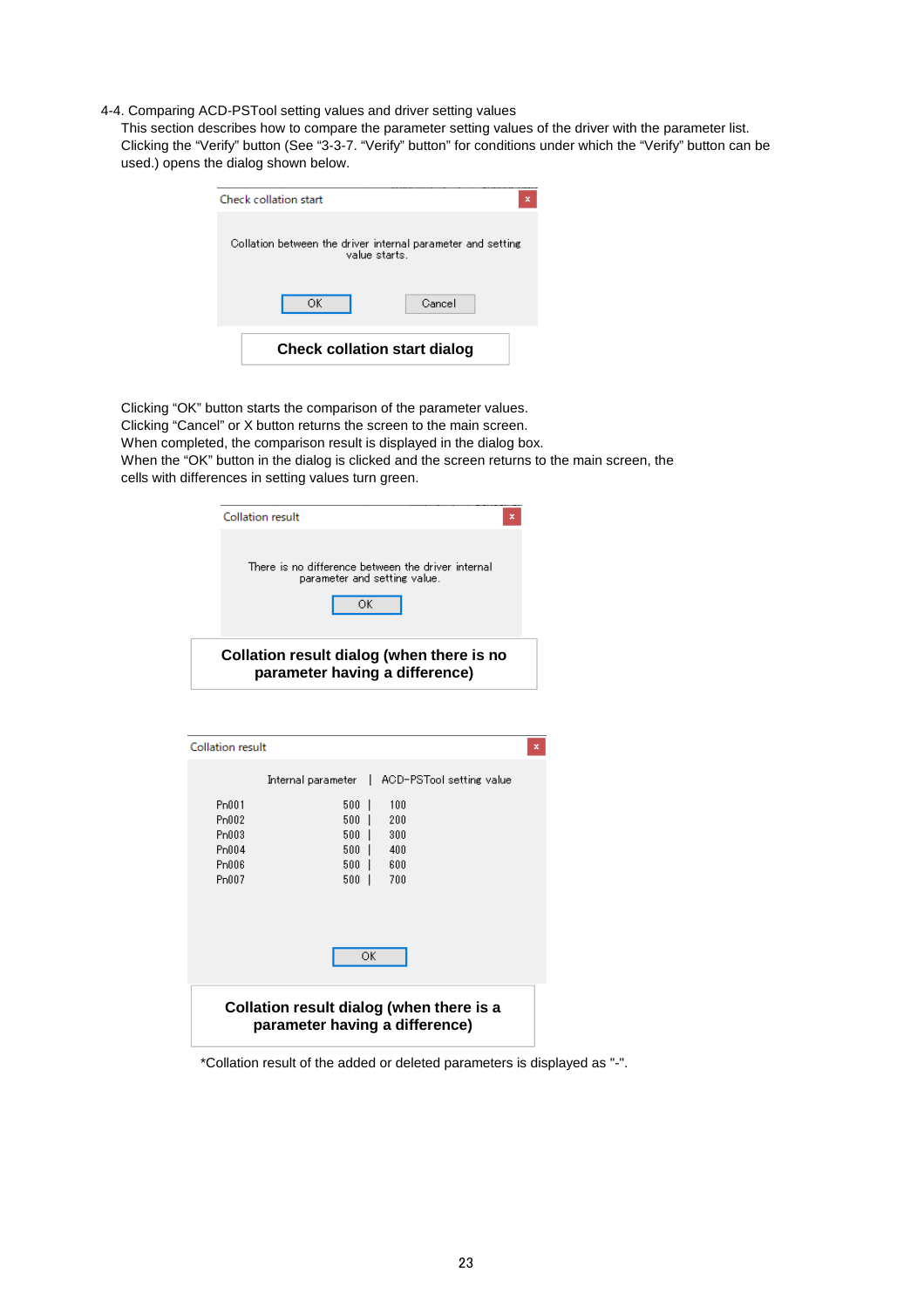4-4. Comparing ACD-PSTool setting values and driver setting values

This section describes how to compare the parameter setting values of the driver with the parameter list. Clicking the "Verify" button (See "3-3-7. "Verify" button" for conditions under which the "Verify" button can be used.) opens the dialog shown below.

| <b>Check collation start</b>                                                  | × |
|-------------------------------------------------------------------------------|---|
| Collation between the driver internal parameter and setting<br>value starts i |   |
| ОК<br>Cancel                                                                  |   |
| <b>Check collation start dialog</b>                                           |   |

Clicking "OK" button starts the comparison of the parameter values. Clicking "Cancel" or X button returns the screen to the main screen. When completed, the comparison result is displayed in the dialog box. When the "OK" button in the dialog is clicked and the screen returns to the main screen, the cells with differences in setting values turn green.

| Collation result | ×                                                                                        |
|------------------|------------------------------------------------------------------------------------------|
|                  | There is no difference between the driver internal<br>parameter and setting value.<br>ОК |
|                  | Collation result dialog (when there is no<br>parameter having a difference)              |

| Internal parameter<br>L<br>Pn001<br>500<br>100 | ACD-PSTool setting value |
|------------------------------------------------|--------------------------|
|                                                |                          |
|                                                |                          |
|                                                |                          |
| Pn002<br>500<br>200                            |                          |
| Pn003<br>500<br>300                            |                          |
| Pn004<br>500<br>400                            |                          |
| P <sub>n</sub> 006<br>500<br>600               |                          |
| Pn007<br>500<br>700                            |                          |
|                                                |                          |
|                                                |                          |
|                                                |                          |
|                                                |                          |
| ОK                                             |                          |
|                                                |                          |
|                                                |                          |
| Collation result dialog (when there is a       |                          |
| parameter having a difference)                 |                          |

\*Collation result of the added or deleted parameters is displayed as "-".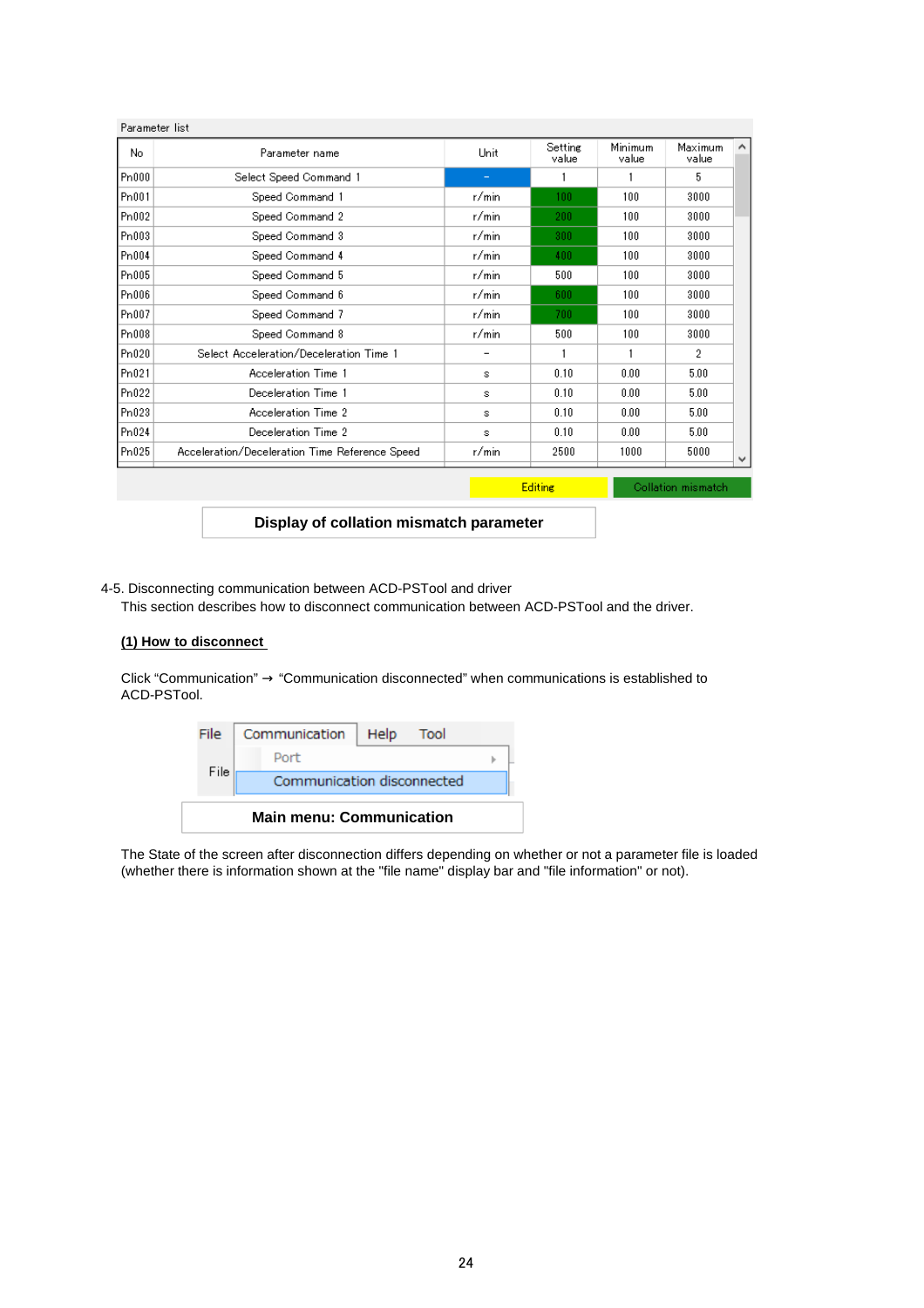| No.               | Parameter name                                 | Unit  | Setting<br>value | Minimum<br>value | Maximum<br>value |
|-------------------|------------------------------------------------|-------|------------------|------------------|------------------|
| P <sub>n000</sub> | Select Speed Command 1                         | -     |                  |                  | 5                |
| P <sub>n001</sub> | Speed Command 1                                | r/min | 100              | 100              | 3000             |
| Pn002             | Speed Command 2                                | r/min | 200              | 100              | 3000             |
| Pn003             | Speed Command 3                                | r/min | 300              | 100              | 3000             |
| Pn004             | Speed Command 4                                | r/min | 400              | 100              | 3000             |
| P <sub>n005</sub> | Speed Command 5                                | r/min | 500              | 100              | 3000             |
| Pn006             | Speed Command 6                                | r/min | 600              | 100              | 3000             |
| Pn007             | Speed Command 7                                | r/min | 700              | 100              | 3000             |
| Pn008             | Speed Command 8                                | r/min | 500              | 100              | 3000             |
| Pn020             | Select Acceleration/Deceleration Time 1        | -     |                  |                  | 2                |
| Pn021             | Acceleration Time 1                            | s     | 0.10             | 0.00             | 5.00             |
| Pn022             | Deceleration Time 1                            | s     | 0.10             | 0.00             | 5.00             |
| Pn023             | Acceleration Time 2                            | s     | 0.10             | 0.00             | 5.00             |
| Pn024             | Deceleration Time 2                            | s     | 0.10             | 0.00             | 5.00             |
| Pn025             | Acceleration/Deceleration Time Reference Speed | r/min | 2500             | 1000             | 5000             |

**Display of collation mismatch parameter**

4-5. Disconnecting communication between ACD-PSTool and driver

This section describes how to disconnect communication between ACD-PSTool and the driver.

#### **(1) How to disconnect**

Click "Communication" → "Communication disconnected" when communications is established to ACD-PSTool.

| File | Communication                   | Help | Tool |  |
|------|---------------------------------|------|------|--|
|      | Port                            |      |      |  |
| File | Communication disconnected      |      |      |  |
|      | <b>Main menu: Communication</b> |      |      |  |

The State of the screen after disconnection differs depending on whether or not a parameter file is loaded (whether there is information shown at the "file name" display bar and "file information" or not).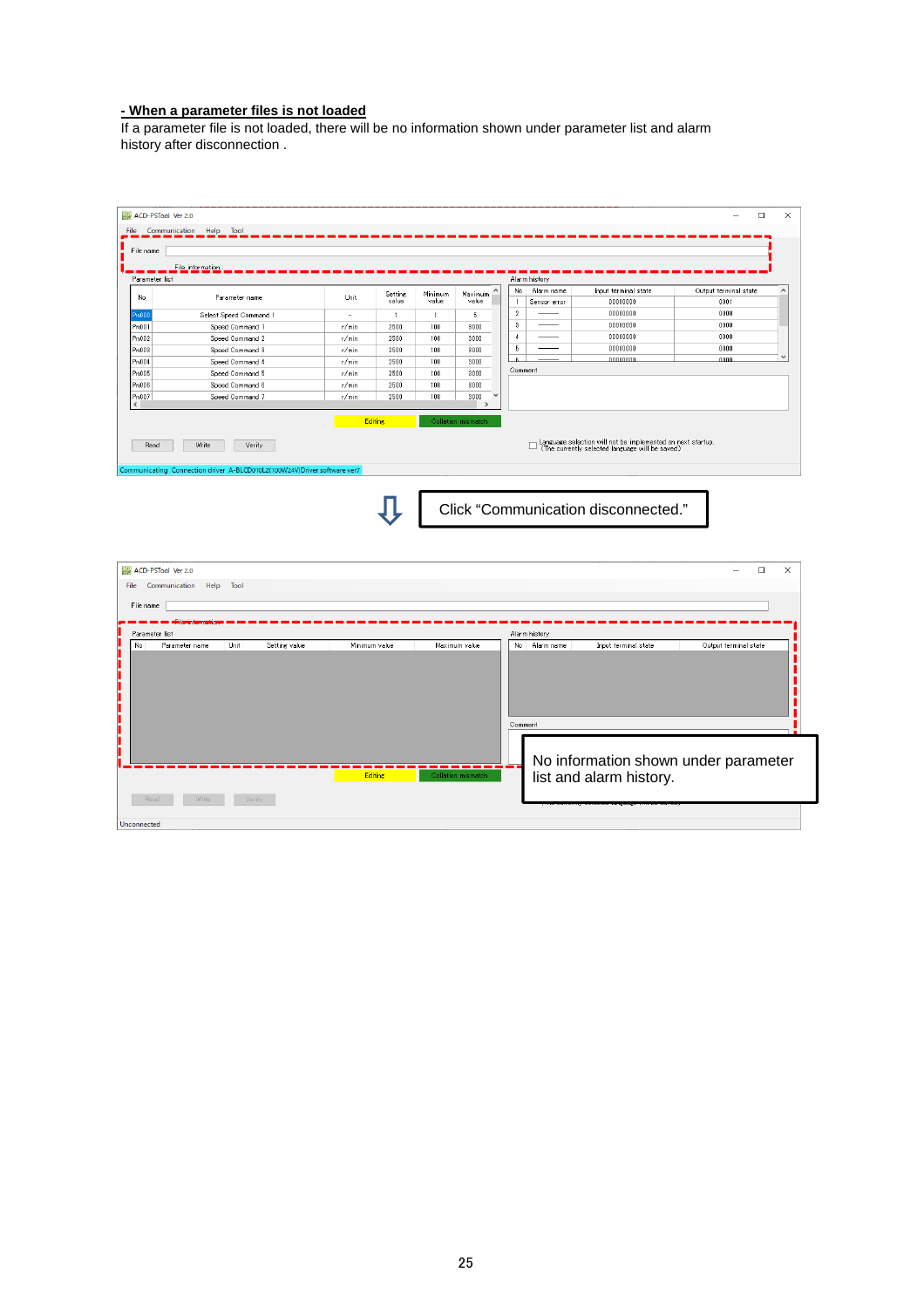#### **- When a parameter files is not loaded**

If a parameter file is not loaded, there will be no information shown under parameter list and alarm history after disconnection .

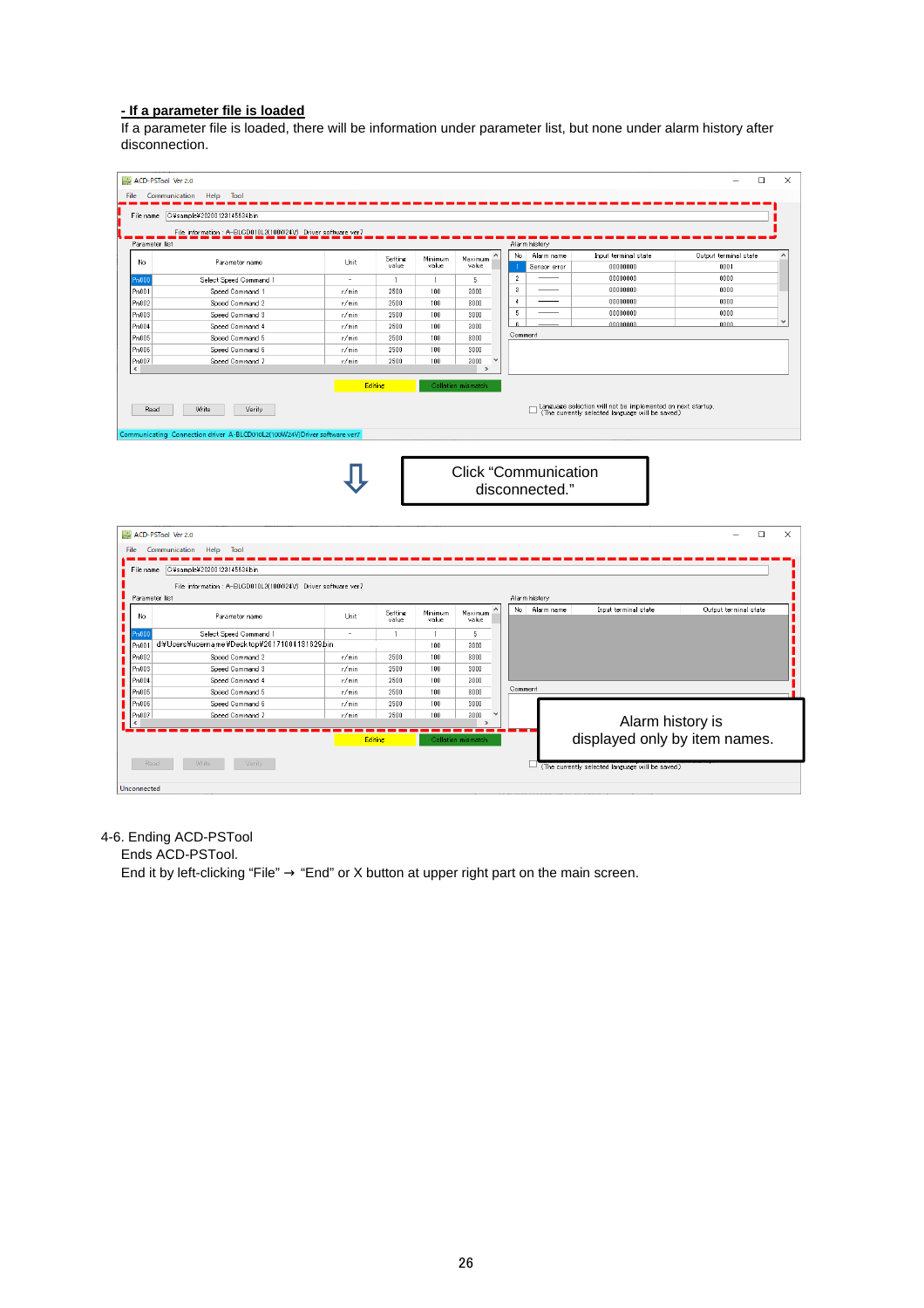#### **- If a parameter file is loaded**

If a parameter file is loaded, there will be information under parameter list, but none under alarm history after disconnection.

|                                                                                                                    | ACD-PSTool Ver 2.0                                                       |                          |                         |                       |                          |                          |                                               |                                                                                                                 | $\Box$                        |  |
|--------------------------------------------------------------------------------------------------------------------|--------------------------------------------------------------------------|--------------------------|-------------------------|-----------------------|--------------------------|--------------------------|-----------------------------------------------|-----------------------------------------------------------------------------------------------------------------|-------------------------------|--|
| File                                                                                                               | Communication Help Tool                                                  |                          |                         |                       |                          |                          |                                               |                                                                                                                 |                               |  |
| File name                                                                                                          | C:¥sample¥20200123145634.bin                                             |                          |                         |                       |                          |                          |                                               |                                                                                                                 |                               |  |
|                                                                                                                    |                                                                          |                          |                         |                       |                          |                          |                                               |                                                                                                                 |                               |  |
|                                                                                                                    | File information : A-BLCD010L2(100W24V) Driver software ver7             |                          |                         |                       |                          |                          |                                               |                                                                                                                 |                               |  |
| Parameter list                                                                                                     |                                                                          |                          |                         |                       |                          | No                       | Alarm history<br>Alarm name                   |                                                                                                                 |                               |  |
| No                                                                                                                 | Parameter name                                                           | Unit                     | <b>Setting</b><br>value | Minimum<br>value      | Maximum<br>value         |                          | Sensor error                                  | Input terminal state<br>00000000                                                                                | Output terminal state<br>0001 |  |
| Pn000                                                                                                              | Select Speed Command 1                                                   | $\overline{\phantom{a}}$ | $\overline{1}$          |                       | 5                        | $\overline{2}$           |                                               | 00000000                                                                                                        | 0000                          |  |
| Pn001                                                                                                              | Speed Command 1                                                          | r/min                    | 2500                    | $\overline{1}$<br>100 | 3000                     | $\sqrt{3}$               |                                               | 00000000                                                                                                        | 0000                          |  |
| Pn002                                                                                                              | Speed Command 2                                                          | r/min                    | 2500                    | 100                   | 3000                     | $\overline{4}$           |                                               | 00000000                                                                                                        | 0000                          |  |
| Pn003                                                                                                              | Speed Command 3                                                          | r/min                    | 2500                    | 100                   | 3000                     | $\overline{\phantom{a}}$ |                                               | 00000000                                                                                                        | 0000                          |  |
| Pn004                                                                                                              | Speed Command 4                                                          | r/min                    | 2500                    | 100                   | 3000                     |                          |                                               | 00000000                                                                                                        | 0000                          |  |
| Pn005                                                                                                              | Speed Command 5                                                          | r/min                    | 2500                    | 100                   | 3000                     | Comment                  |                                               |                                                                                                                 |                               |  |
| Pn006                                                                                                              | Speed Command 6                                                          | r/min                    | 2500                    | 100                   | 3000                     |                          |                                               |                                                                                                                 |                               |  |
| Pn007                                                                                                              | Speed Command 7                                                          | r/min                    | 2500                    | 100                   | 3000                     |                          |                                               |                                                                                                                 |                               |  |
|                                                                                                                    |                                                                          |                          |                         |                       | $\,$                     |                          |                                               |                                                                                                                 |                               |  |
|                                                                                                                    |                                                                          |                          | <b>Editing</b>          |                       | Collation mismatch       |                          |                                               |                                                                                                                 |                               |  |
|                                                                                                                    |                                                                          |                          |                         |                       |                          |                          |                                               |                                                                                                                 |                               |  |
| Read                                                                                                               | Write<br>Verify                                                          |                          |                         |                       |                          |                          | □                                             | Language selection will not be implemented on next startup.<br>(The currently selected language will be saved.) |                               |  |
|                                                                                                                    |                                                                          |                          |                         |                       |                          |                          |                                               |                                                                                                                 |                               |  |
|                                                                                                                    | Communicating Connection driver A-BLCD010L2(100W24V)Driver software ver7 |                          |                         |                       |                          |                          |                                               |                                                                                                                 |                               |  |
|                                                                                                                    |                                                                          |                          |                         |                       |                          |                          | <b>Click "Communication</b><br>disconnected." |                                                                                                                 |                               |  |
|                                                                                                                    |                                                                          |                          |                         |                       |                          |                          |                                               |                                                                                                                 |                               |  |
|                                                                                                                    |                                                                          |                          |                         |                       |                          |                          |                                               |                                                                                                                 | $\Box$                        |  |
| Communication                                                                                                      | Help<br>Tool                                                             |                          |                         |                       |                          |                          |                                               |                                                                                                                 |                               |  |
|                                                                                                                    | File name C#sample#20200123145634bin                                     |                          |                         |                       |                          |                          |                                               |                                                                                                                 |                               |  |
|                                                                                                                    |                                                                          |                          |                         |                       |                          |                          |                                               |                                                                                                                 |                               |  |
|                                                                                                                    | File information : A-BLCD010L2(100W24V) Driver software ver7             |                          |                         |                       |                          |                          | Alarm history                                 |                                                                                                                 |                               |  |
|                                                                                                                    |                                                                          |                          |                         |                       |                          | No.                      | Alarm name                                    | Input terminal state                                                                                            | Output terminal state         |  |
|                                                                                                                    | Parameter name                                                           | Unit                     | Setting<br>value        | Minimum<br>value      | Maximum<br>value         |                          |                                               |                                                                                                                 |                               |  |
|                                                                                                                    | Select Speed Command 1                                                   | $\sim$                   | $\mathbf{1}$            | $\mathbf{1}$          | 5                        |                          |                                               |                                                                                                                 |                               |  |
|                                                                                                                    | d:¥Users¥username¥Desktop¥20171004131629bin                              |                          |                         | 100                   | 3000                     |                          |                                               |                                                                                                                 |                               |  |
|                                                                                                                    | Speed Command 2                                                          | r/min                    | 2500                    | 100                   | 3000                     |                          |                                               |                                                                                                                 |                               |  |
|                                                                                                                    | Speed Command 3                                                          | r/min                    | 2500                    | 100                   | 3000                     |                          |                                               |                                                                                                                 |                               |  |
|                                                                                                                    | Speed Command 4                                                          | r/min                    | 2500                    | 100                   | 3000                     |                          |                                               |                                                                                                                 |                               |  |
|                                                                                                                    | Speed Command 5                                                          | r/min                    | 2500                    | 100                   | 3000                     | Comment                  |                                               |                                                                                                                 |                               |  |
|                                                                                                                    | Speed Command 6                                                          | r/min                    | 2500                    | 100                   | 3000                     |                          |                                               |                                                                                                                 |                               |  |
|                                                                                                                    | Speed Command 7                                                          | r/min                    | 2500                    | 100                   | 3000                     |                          |                                               |                                                                                                                 |                               |  |
|                                                                                                                    |                                                                          |                          |                         |                       | $\overline{\phantom{a}}$ |                          |                                               | Alarm history is                                                                                                |                               |  |
| ACD-PSTool Ver 2.0<br>Parameter list<br>No<br>Pn000<br>Pn001<br>Pn002<br>Pn003<br>Pn004<br>Pn005<br>Pn006<br>Pn007 |                                                                          |                          | <b>Editing</b>          |                       | Collation mismatch       |                          |                                               |                                                                                                                 |                               |  |
|                                                                                                                    |                                                                          |                          |                         |                       |                          |                          |                                               | displayed only by item names.                                                                                   |                               |  |
| Read                                                                                                               | Write<br>Verify                                                          |                          |                         |                       |                          |                          |                                               | (The currently selected language will be saved.)                                                                |                               |  |

#### 4-6. Ending ACD-PSTool

Ends ACD-PSTool.

End it by left-clicking "File"  $\rightarrow$  "End" or X button at upper right part on the main screen.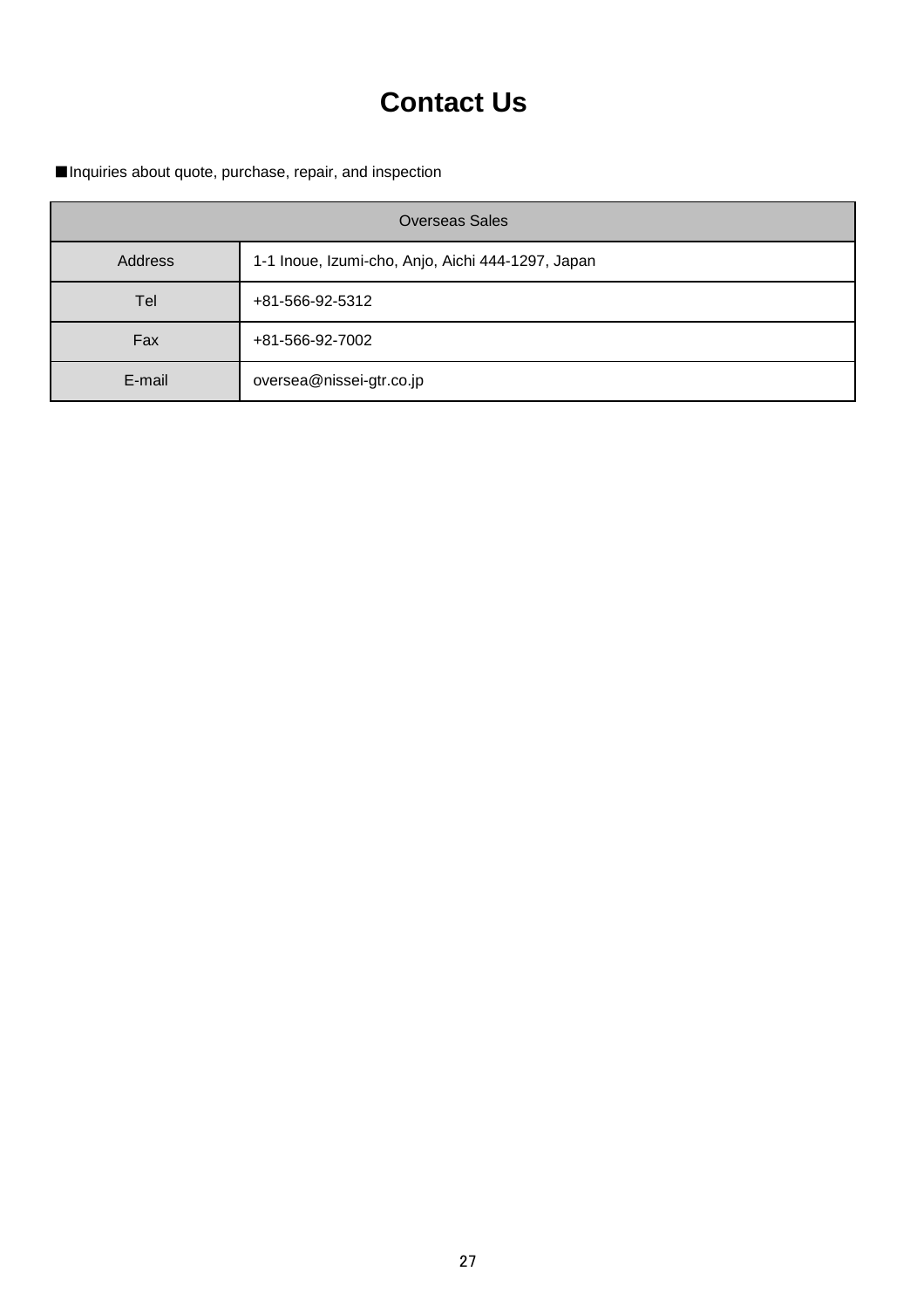## **Contact Us**

■Inquiries about quote, purchase, repair, and inspection

| <b>Overseas Sales</b> |                                                   |  |  |  |  |  |  |  |
|-----------------------|---------------------------------------------------|--|--|--|--|--|--|--|
| <b>Address</b>        | 1-1 Inoue, Izumi-cho, Anjo, Aichi 444-1297, Japan |  |  |  |  |  |  |  |
| Tel                   | +81-566-92-5312                                   |  |  |  |  |  |  |  |
| Fax                   | +81-566-92-7002                                   |  |  |  |  |  |  |  |
| E-mail                | oversea@nissei-gtr.co.jp                          |  |  |  |  |  |  |  |